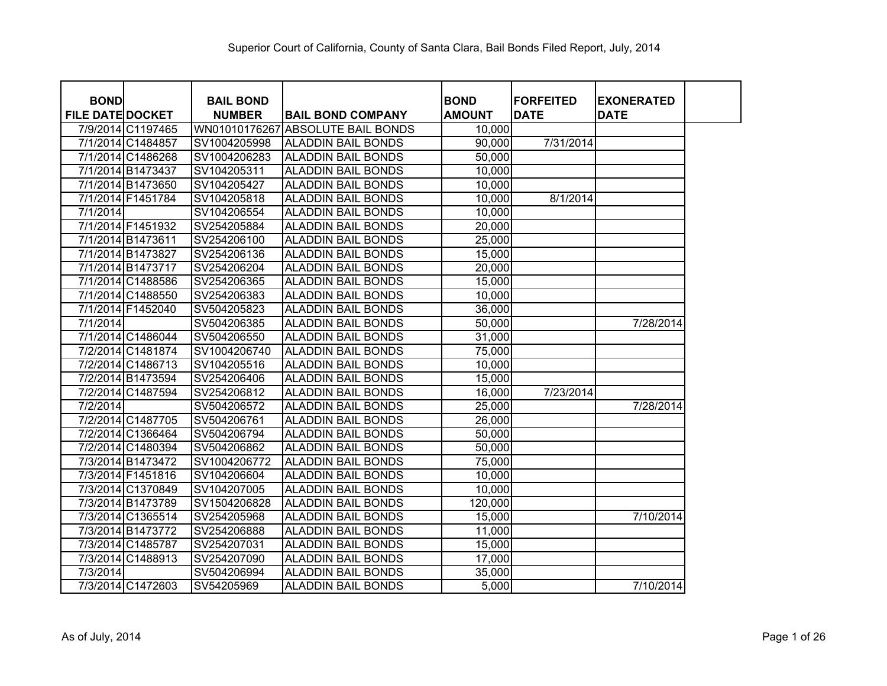| <b>BOND</b>             |                   | <b>BAIL BOND</b> |                            | <b>BOND</b>   | <b>FORFEITED</b> | <b>EXONERATED</b> |
|-------------------------|-------------------|------------------|----------------------------|---------------|------------------|-------------------|
| <b>FILE DATE DOCKET</b> |                   | <b>NUMBER</b>    | <b>BAIL BOND COMPANY</b>   | <b>AMOUNT</b> | <b>DATE</b>      | <b>DATE</b>       |
|                         | 7/9/2014 C1197465 | WN01010176267    | <b>ABSOLUTE BAIL BONDS</b> | 10,000        |                  |                   |
|                         | 7/1/2014 C1484857 | SV1004205998     | <b>ALADDIN BAIL BONDS</b>  | 90,000        | 7/31/2014        |                   |
|                         | 7/1/2014 C1486268 | SV1004206283     | <b>ALADDIN BAIL BONDS</b>  | 50,000        |                  |                   |
|                         | 7/1/2014 B1473437 | SV104205311      | <b>ALADDIN BAIL BONDS</b>  | 10,000        |                  |                   |
|                         | 7/1/2014 B1473650 | SV104205427      | <b>ALADDIN BAIL BONDS</b>  | 10,000        |                  |                   |
|                         | 7/1/2014 F1451784 | SV104205818      | <b>ALADDIN BAIL BONDS</b>  | 10,000        | 8/1/2014         |                   |
| 7/1/2014                |                   | SV104206554      | <b>ALADDIN BAIL BONDS</b>  | 10,000        |                  |                   |
|                         | 7/1/2014 F1451932 | SV254205884      | <b>ALADDIN BAIL BONDS</b>  | 20,000        |                  |                   |
|                         | 7/1/2014 B1473611 | SV254206100      | <b>ALADDIN BAIL BONDS</b>  | 25,000        |                  |                   |
|                         | 7/1/2014 B1473827 | SV254206136      | <b>ALADDIN BAIL BONDS</b>  | 15,000        |                  |                   |
|                         | 7/1/2014 B1473717 | SV254206204      | <b>ALADDIN BAIL BONDS</b>  | 20,000        |                  |                   |
|                         | 7/1/2014 C1488586 | SV254206365      | <b>ALADDIN BAIL BONDS</b>  | 15,000        |                  |                   |
|                         | 7/1/2014 C1488550 | SV254206383      | <b>ALADDIN BAIL BONDS</b>  | 10,000        |                  |                   |
|                         | 7/1/2014 F1452040 | SV504205823      | <b>ALADDIN BAIL BONDS</b>  | 36,000        |                  |                   |
| 7/1/2014                |                   | SV504206385      | <b>ALADDIN BAIL BONDS</b>  | 50,000        |                  | 7/28/2014         |
|                         | 7/1/2014 C1486044 | SV504206550      | <b>ALADDIN BAIL BONDS</b>  | 31,000        |                  |                   |
|                         | 7/2/2014 C1481874 | SV1004206740     | <b>ALADDIN BAIL BONDS</b>  | 75,000        |                  |                   |
|                         | 7/2/2014 C1486713 | SV104205516      | <b>ALADDIN BAIL BONDS</b>  | 10,000        |                  |                   |
|                         | 7/2/2014 B1473594 | SV254206406      | <b>ALADDIN BAIL BONDS</b>  | 15,000        |                  |                   |
|                         | 7/2/2014 C1487594 | SV254206812      | <b>ALADDIN BAIL BONDS</b>  | 16,000        | 7/23/2014        |                   |
| 7/2/2014                |                   | SV504206572      | <b>ALADDIN BAIL BONDS</b>  | 25,000        |                  | 7/28/2014         |
|                         | 7/2/2014 C1487705 | SV504206761      | <b>ALADDIN BAIL BONDS</b>  | 26,000        |                  |                   |
|                         | 7/2/2014 C1366464 | SV504206794      | <b>ALADDIN BAIL BONDS</b>  | 50,000        |                  |                   |
|                         | 7/2/2014 C1480394 | SV504206862      | <b>ALADDIN BAIL BONDS</b>  | 50,000        |                  |                   |
|                         | 7/3/2014 B1473472 | SV1004206772     | <b>ALADDIN BAIL BONDS</b>  | 75,000        |                  |                   |
|                         | 7/3/2014 F1451816 | SV104206604      | <b>ALADDIN BAIL BONDS</b>  | 10,000        |                  |                   |
|                         | 7/3/2014 C1370849 | SV104207005      | <b>ALADDIN BAIL BONDS</b>  | 10,000        |                  |                   |
|                         | 7/3/2014 B1473789 | SV1504206828     | <b>ALADDIN BAIL BONDS</b>  | 120,000       |                  |                   |
|                         | 7/3/2014 C1365514 | SV254205968      | <b>ALADDIN BAIL BONDS</b>  | 15,000        |                  | 7/10/2014         |
|                         | 7/3/2014 B1473772 | SV254206888      | <b>ALADDIN BAIL BONDS</b>  | 11,000        |                  |                   |
|                         | 7/3/2014 C1485787 | SV254207031      | <b>ALADDIN BAIL BONDS</b>  | 15,000        |                  |                   |
|                         | 7/3/2014 C1488913 | SV254207090      | <b>ALADDIN BAIL BONDS</b>  | 17,000        |                  |                   |
| 7/3/2014                |                   | SV504206994      | <b>ALADDIN BAIL BONDS</b>  | 35,000        |                  |                   |
|                         | 7/3/2014 C1472603 | SV54205969       | <b>ALADDIN BAIL BONDS</b>  | 5,000         |                  | 7/10/2014         |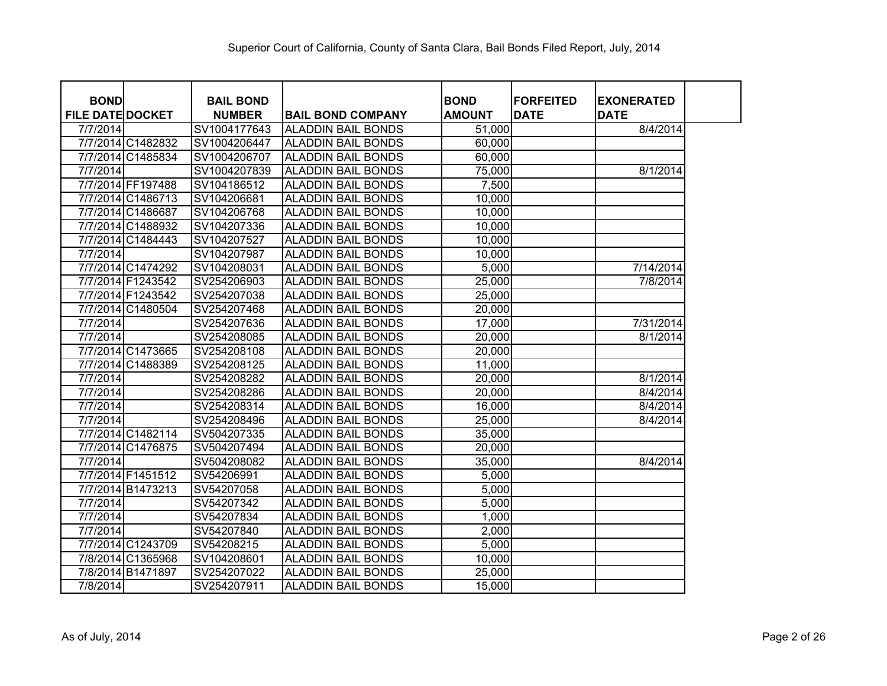| <b>BOND</b>             |                   | <b>BAIL BOND</b> |                           | <b>BOND</b>   | <b>FORFEITED</b> | <b>EXONERATED</b> |
|-------------------------|-------------------|------------------|---------------------------|---------------|------------------|-------------------|
| <b>FILE DATE DOCKET</b> |                   | <b>NUMBER</b>    | <b>BAIL BOND COMPANY</b>  | <b>AMOUNT</b> | <b>DATE</b>      | <b>DATE</b>       |
| 7/7/2014                |                   | SV1004177643     | <b>ALADDIN BAIL BONDS</b> | 51,000        |                  | 8/4/2014          |
|                         | 7/7/2014 C1482832 | SV1004206447     | <b>ALADDIN BAIL BONDS</b> | 60,000        |                  |                   |
|                         | 7/7/2014 C1485834 | SV1004206707     | <b>ALADDIN BAIL BONDS</b> | 60,000        |                  |                   |
| 7/7/2014                |                   | SV1004207839     | <b>ALADDIN BAIL BONDS</b> | 75,000        |                  | 8/1/2014          |
|                         | 7/7/2014 FF197488 | SV104186512      | <b>ALADDIN BAIL BONDS</b> | 7,500         |                  |                   |
|                         | 7/7/2014 C1486713 | SV104206681      | <b>ALADDIN BAIL BONDS</b> | 10,000        |                  |                   |
|                         | 7/7/2014 C1486687 | SV104206768      | <b>ALADDIN BAIL BONDS</b> | 10,000        |                  |                   |
|                         | 7/7/2014 C1488932 | SV104207336      | <b>ALADDIN BAIL BONDS</b> | 10,000        |                  |                   |
|                         | 7/7/2014 C1484443 | SV104207527      | <b>ALADDIN BAIL BONDS</b> | 10,000        |                  |                   |
| 7/7/2014                |                   | SV104207987      | <b>ALADDIN BAIL BONDS</b> | 10,000        |                  |                   |
|                         | 7/7/2014 C1474292 | SV104208031      | <b>ALADDIN BAIL BONDS</b> | 5,000         |                  | 7/14/2014         |
|                         | 7/7/2014 F1243542 | SV254206903      | <b>ALADDIN BAIL BONDS</b> | 25,000        |                  | 7/8/2014          |
|                         | 7/7/2014 F1243542 | SV254207038      | <b>ALADDIN BAIL BONDS</b> | 25,000        |                  |                   |
|                         | 7/7/2014 C1480504 | SV254207468      | <b>ALADDIN BAIL BONDS</b> | 20,000        |                  |                   |
| 7/7/2014                |                   | SV254207636      | <b>ALADDIN BAIL BONDS</b> | 17,000        |                  | 7/31/2014         |
| 7/7/2014                |                   | SV254208085      | <b>ALADDIN BAIL BONDS</b> | 20,000        |                  | 8/1/2014          |
|                         | 7/7/2014 C1473665 | SV254208108      | <b>ALADDIN BAIL BONDS</b> | 20,000        |                  |                   |
|                         | 7/7/2014 C1488389 | SV254208125      | <b>ALADDIN BAIL BONDS</b> | 11,000        |                  |                   |
| 7/7/2014                |                   | SV254208282      | <b>ALADDIN BAIL BONDS</b> | 20,000        |                  | 8/1/2014          |
| 7/7/2014                |                   | SV254208286      | <b>ALADDIN BAIL BONDS</b> | 20,000        |                  | 8/4/2014          |
| 7/7/2014                |                   | SV254208314      | <b>ALADDIN BAIL BONDS</b> | 16,000        |                  | 8/4/2014          |
| 7/7/2014                |                   | SV254208496      | <b>ALADDIN BAIL BONDS</b> | 25,000        |                  | 8/4/2014          |
|                         | 7/7/2014 C1482114 | SV504207335      | <b>ALADDIN BAIL BONDS</b> | 35,000        |                  |                   |
|                         | 7/7/2014 C1476875 | SV504207494      | <b>ALADDIN BAIL BONDS</b> | 20,000        |                  |                   |
| 7/7/2014                |                   | SV504208082      | <b>ALADDIN BAIL BONDS</b> | 35,000        |                  | 8/4/2014          |
|                         | 7/7/2014 F1451512 | SV54206991       | <b>ALADDIN BAIL BONDS</b> | 5,000         |                  |                   |
|                         | 7/7/2014 B1473213 | SV54207058       | <b>ALADDIN BAIL BONDS</b> | 5,000         |                  |                   |
| 7/7/2014                |                   | SV54207342       | <b>ALADDIN BAIL BONDS</b> | 5,000         |                  |                   |
| 7/7/2014                |                   | SV54207834       | <b>ALADDIN BAIL BONDS</b> | 1,000         |                  |                   |
| 7/7/2014                |                   | SV54207840       | <b>ALADDIN BAIL BONDS</b> | 2,000         |                  |                   |
|                         | 7/7/2014 C1243709 | SV54208215       | <b>ALADDIN BAIL BONDS</b> | 5,000         |                  |                   |
|                         | 7/8/2014 C1365968 | SV104208601      | <b>ALADDIN BAIL BONDS</b> | 10,000        |                  |                   |
|                         | 7/8/2014 B1471897 | SV254207022      | <b>ALADDIN BAIL BONDS</b> | 25,000        |                  |                   |
| 7/8/2014                |                   | SV254207911      | <b>ALADDIN BAIL BONDS</b> | 15,000        |                  |                   |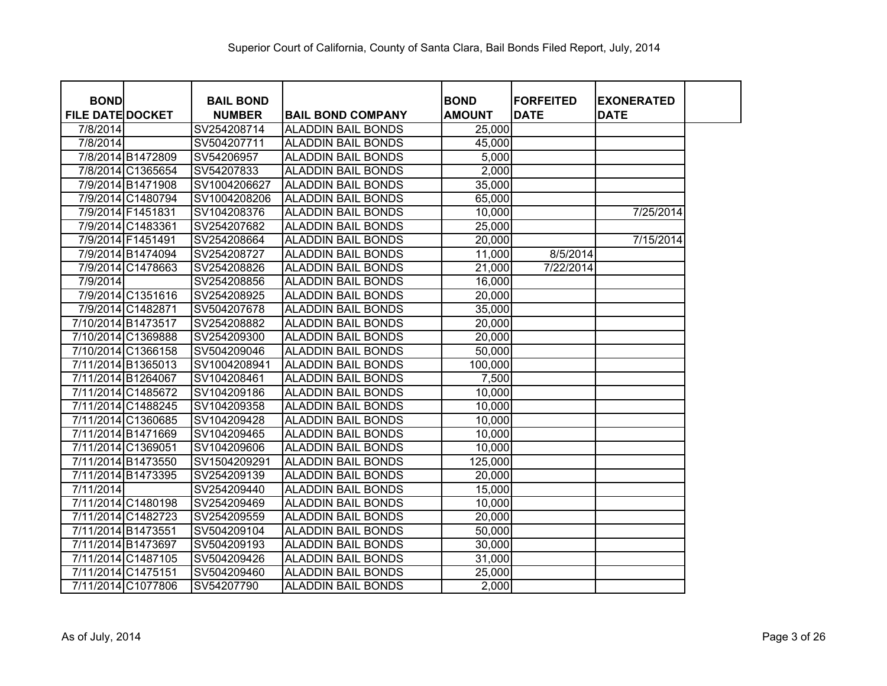| <b>BOND</b>             |                    | <b>BAIL BOND</b> |                           | <b>BOND</b>   | <b>FORFEITED</b> | <b>EXONERATED</b> |
|-------------------------|--------------------|------------------|---------------------------|---------------|------------------|-------------------|
| <b>FILE DATE DOCKET</b> |                    | <b>NUMBER</b>    | <b>BAIL BOND COMPANY</b>  | <b>AMOUNT</b> | <b>DATE</b>      | <b>DATE</b>       |
| 7/8/2014                |                    | SV254208714      | <b>ALADDIN BAIL BONDS</b> | 25,000        |                  |                   |
| 7/8/2014                |                    | SV504207711      | <b>ALADDIN BAIL BONDS</b> | 45,000        |                  |                   |
|                         | 7/8/2014 B1472809  | SV54206957       | <b>ALADDIN BAIL BONDS</b> | 5,000         |                  |                   |
|                         | 7/8/2014 C1365654  | SV54207833       | <b>ALADDIN BAIL BONDS</b> | 2,000         |                  |                   |
|                         | 7/9/2014 B1471908  | SV1004206627     | <b>ALADDIN BAIL BONDS</b> | 35,000        |                  |                   |
|                         | 7/9/2014 C1480794  | SV1004208206     | <b>ALADDIN BAIL BONDS</b> | 65,000        |                  |                   |
|                         | 7/9/2014 F1451831  | SV104208376      | <b>ALADDIN BAIL BONDS</b> | 10,000        |                  | 7/25/2014         |
|                         | 7/9/2014 C1483361  | SV254207682      | <b>ALADDIN BAIL BONDS</b> | 25,000        |                  |                   |
|                         | 7/9/2014 F1451491  | SV254208664      | <b>ALADDIN BAIL BONDS</b> | 20,000        |                  | 7/15/2014         |
|                         | 7/9/2014 B1474094  | SV254208727      | <b>ALADDIN BAIL BONDS</b> | 11,000        | 8/5/2014         |                   |
|                         | 7/9/2014 C1478663  | SV254208826      | <b>ALADDIN BAIL BONDS</b> | 21,000        | 7/22/2014        |                   |
| 7/9/2014                |                    | SV254208856      | <b>ALADDIN BAIL BONDS</b> | 16,000        |                  |                   |
|                         | 7/9/2014 C1351616  | SV254208925      | <b>ALADDIN BAIL BONDS</b> | 20,000        |                  |                   |
|                         | 7/9/2014 C1482871  | SV504207678      | <b>ALADDIN BAIL BONDS</b> | 35,000        |                  |                   |
|                         | 7/10/2014 B1473517 | SV254208882      | <b>ALADDIN BAIL BONDS</b> | 20,000        |                  |                   |
|                         | 7/10/2014 C1369888 | SV254209300      | <b>ALADDIN BAIL BONDS</b> | 20,000        |                  |                   |
|                         | 7/10/2014 C1366158 | SV504209046      | <b>ALADDIN BAIL BONDS</b> | 50,000        |                  |                   |
|                         | 7/11/2014 B1365013 | SV1004208941     | <b>ALADDIN BAIL BONDS</b> | 100,000       |                  |                   |
|                         | 7/11/2014 B1264067 | SV104208461      | <b>ALADDIN BAIL BONDS</b> | 7,500         |                  |                   |
|                         | 7/11/2014 C1485672 | SV104209186      | <b>ALADDIN BAIL BONDS</b> | 10,000        |                  |                   |
|                         | 7/11/2014 C1488245 | SV104209358      | <b>ALADDIN BAIL BONDS</b> | 10,000        |                  |                   |
|                         | 7/11/2014 C1360685 | SV104209428      | <b>ALADDIN BAIL BONDS</b> | 10,000        |                  |                   |
|                         | 7/11/2014 B1471669 | SV104209465      | <b>ALADDIN BAIL BONDS</b> | 10,000        |                  |                   |
|                         | 7/11/2014 C1369051 | SV104209606      | <b>ALADDIN BAIL BONDS</b> | 10,000        |                  |                   |
|                         | 7/11/2014 B1473550 | SV1504209291     | <b>ALADDIN BAIL BONDS</b> | 125,000       |                  |                   |
|                         | 7/11/2014 B1473395 | SV254209139      | <b>ALADDIN BAIL BONDS</b> | 20,000        |                  |                   |
| 7/11/2014               |                    | SV254209440      | <b>ALADDIN BAIL BONDS</b> | 15,000        |                  |                   |
|                         | 7/11/2014 C1480198 | SV254209469      | <b>ALADDIN BAIL BONDS</b> | 10,000        |                  |                   |
|                         | 7/11/2014 C1482723 | SV254209559      | <b>ALADDIN BAIL BONDS</b> | 20,000        |                  |                   |
|                         | 7/11/2014 B1473551 | SV504209104      | <b>ALADDIN BAIL BONDS</b> | 50,000        |                  |                   |
|                         | 7/11/2014 B1473697 | SV504209193      | <b>ALADDIN BAIL BONDS</b> | 30,000        |                  |                   |
|                         | 7/11/2014 C1487105 | SV504209426      | <b>ALADDIN BAIL BONDS</b> | 31,000        |                  |                   |
|                         | 7/11/2014 C1475151 | SV504209460      | <b>ALADDIN BAIL BONDS</b> | 25,000        |                  |                   |
|                         | 7/11/2014 C1077806 | SV54207790       | <b>ALADDIN BAIL BONDS</b> | 2,000         |                  |                   |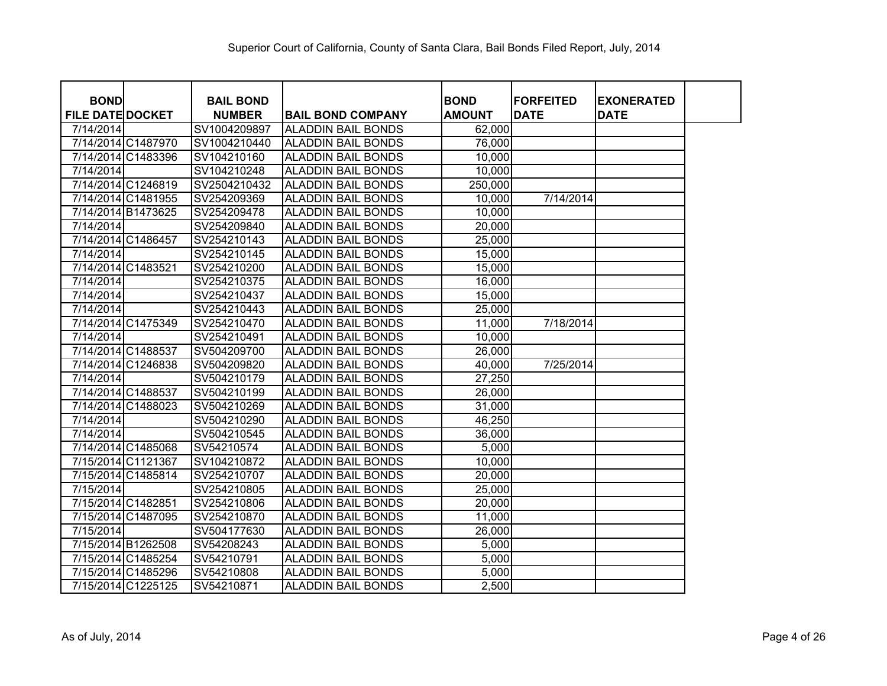| <b>BOND</b>             | <b>BAIL BOND</b> |                           | <b>BOND</b>   | <b>FORFEITED</b> | <b>EXONERATED</b> |  |
|-------------------------|------------------|---------------------------|---------------|------------------|-------------------|--|
| <b>FILE DATE DOCKET</b> | <b>NUMBER</b>    | <b>BAIL BOND COMPANY</b>  | <b>AMOUNT</b> | <b>DATE</b>      | <b>DATE</b>       |  |
| 7/14/2014               | SV1004209897     | <b>ALADDIN BAIL BONDS</b> | 62,000        |                  |                   |  |
| 7/14/2014 C1487970      | SV1004210440     | <b>ALADDIN BAIL BONDS</b> | 76,000        |                  |                   |  |
| 7/14/2014 C1483396      | SV104210160      | <b>ALADDIN BAIL BONDS</b> | 10,000        |                  |                   |  |
| 7/14/2014               | SV104210248      | <b>ALADDIN BAIL BONDS</b> | 10,000        |                  |                   |  |
| 7/14/2014 C1246819      | SV2504210432     | <b>ALADDIN BAIL BONDS</b> | 250,000       |                  |                   |  |
| 7/14/2014 C1481955      | SV254209369      | <b>ALADDIN BAIL BONDS</b> | 10,000        | 7/14/2014        |                   |  |
| 7/14/2014 B1473625      | SV254209478      | <b>ALADDIN BAIL BONDS</b> | 10,000        |                  |                   |  |
| 7/14/2014               | SV254209840      | <b>ALADDIN BAIL BONDS</b> | 20,000        |                  |                   |  |
| 7/14/2014 C1486457      | SV254210143      | <b>ALADDIN BAIL BONDS</b> | 25,000        |                  |                   |  |
| 7/14/2014               | SV254210145      | <b>ALADDIN BAIL BONDS</b> | 15,000        |                  |                   |  |
| 7/14/2014 C1483521      | SV254210200      | <b>ALADDIN BAIL BONDS</b> | 15,000        |                  |                   |  |
| 7/14/2014               | SV254210375      | <b>ALADDIN BAIL BONDS</b> | 16,000        |                  |                   |  |
| 7/14/2014               | SV254210437      | <b>ALADDIN BAIL BONDS</b> | 15,000        |                  |                   |  |
| 7/14/2014               | SV254210443      | <b>ALADDIN BAIL BONDS</b> | 25,000        |                  |                   |  |
| 7/14/2014 C1475349      | SV254210470      | <b>ALADDIN BAIL BONDS</b> | 11,000        | 7/18/2014        |                   |  |
| 7/14/2014               | SV254210491      | <b>ALADDIN BAIL BONDS</b> | 10,000        |                  |                   |  |
| 7/14/2014 C1488537      | SV504209700      | <b>ALADDIN BAIL BONDS</b> | 26,000        |                  |                   |  |
| 7/14/2014 C1246838      | SV504209820      | <b>ALADDIN BAIL BONDS</b> | 40,000        | 7/25/2014        |                   |  |
| 7/14/2014               | SV504210179      | <b>ALADDIN BAIL BONDS</b> | 27,250        |                  |                   |  |
| 7/14/2014 C1488537      | SV504210199      | <b>ALADDIN BAIL BONDS</b> | 26,000        |                  |                   |  |
| 7/14/2014 C1488023      | SV504210269      | <b>ALADDIN BAIL BONDS</b> | 31,000        |                  |                   |  |
| 7/14/2014               | SV504210290      | <b>ALADDIN BAIL BONDS</b> | 46,250        |                  |                   |  |
| 7/14/2014               | SV504210545      | <b>ALADDIN BAIL BONDS</b> | 36,000        |                  |                   |  |
| 7/14/2014 C1485068      | SV54210574       | <b>ALADDIN BAIL BONDS</b> | 5,000         |                  |                   |  |
| 7/15/2014 C1121367      | SV104210872      | <b>ALADDIN BAIL BONDS</b> | 10,000        |                  |                   |  |
| 7/15/2014 C1485814      | SV254210707      | <b>ALADDIN BAIL BONDS</b> | 20,000        |                  |                   |  |
| 7/15/2014               | SV254210805      | <b>ALADDIN BAIL BONDS</b> | 25,000        |                  |                   |  |
| 7/15/2014 C1482851      | SV254210806      | <b>ALADDIN BAIL BONDS</b> | 20,000        |                  |                   |  |
| 7/15/2014 C1487095      | SV254210870      | <b>ALADDIN BAIL BONDS</b> | 11,000        |                  |                   |  |
| 7/15/2014               | SV504177630      | <b>ALADDIN BAIL BONDS</b> | 26,000        |                  |                   |  |
| 7/15/2014 B1262508      | SV54208243       | ALADDIN BAIL BONDS        | 5,000         |                  |                   |  |
| 7/15/2014 C1485254      | SV54210791       | <b>ALADDIN BAIL BONDS</b> | 5,000         |                  |                   |  |
| 7/15/2014 C1485296      | SV54210808       | <b>ALADDIN BAIL BONDS</b> | 5,000         |                  |                   |  |
| 7/15/2014 C1225125      | SV54210871       | <b>ALADDIN BAIL BONDS</b> | 2,500         |                  |                   |  |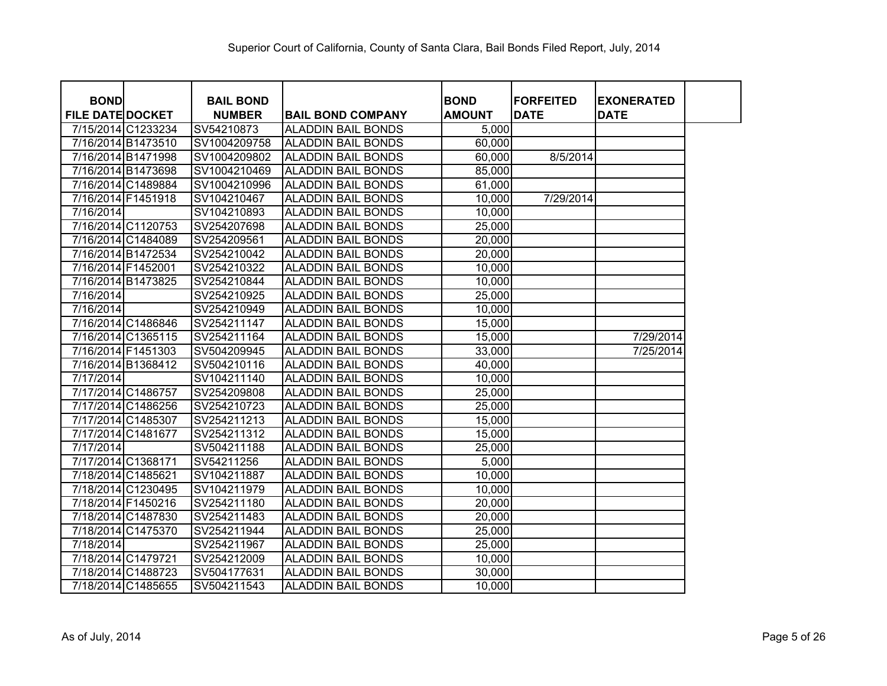| <b>BOND</b>             |                    | <b>BAIL BOND</b> |                           | <b>BOND</b>   | <b>FORFEITED</b> | <b>EXONERATED</b> |  |
|-------------------------|--------------------|------------------|---------------------------|---------------|------------------|-------------------|--|
| <b>FILE DATE DOCKET</b> |                    | <b>NUMBER</b>    | <b>BAIL BOND COMPANY</b>  | <b>AMOUNT</b> | <b>DATE</b>      | <b>DATE</b>       |  |
|                         | 7/15/2014 C1233234 | SV54210873       | <b>ALADDIN BAIL BONDS</b> | 5,000         |                  |                   |  |
|                         | 7/16/2014 B1473510 | SV1004209758     | <b>ALADDIN BAIL BONDS</b> | 60,000        |                  |                   |  |
|                         | 7/16/2014 B1471998 | SV1004209802     | <b>ALADDIN BAIL BONDS</b> | 60,000        | 8/5/2014         |                   |  |
|                         | 7/16/2014 B1473698 | SV1004210469     | <b>ALADDIN BAIL BONDS</b> | 85,000        |                  |                   |  |
|                         | 7/16/2014 C1489884 | SV1004210996     | <b>ALADDIN BAIL BONDS</b> | 61,000        |                  |                   |  |
|                         | 7/16/2014 F1451918 | SV104210467      | IALADDIN BAIL BONDS       | 10,000        | 7/29/2014        |                   |  |
| 7/16/2014               |                    | SV104210893      | <b>ALADDIN BAIL BONDS</b> | 10,000        |                  |                   |  |
|                         | 7/16/2014 C1120753 | SV254207698      | <b>ALADDIN BAIL BONDS</b> | 25,000        |                  |                   |  |
|                         | 7/16/2014 C1484089 | SV254209561      | <b>ALADDIN BAIL BONDS</b> | 20,000        |                  |                   |  |
|                         | 7/16/2014 B1472534 | SV254210042      | <b>ALADDIN BAIL BONDS</b> | 20,000        |                  |                   |  |
| 7/16/2014 F1452001      |                    | SV254210322      | <b>ALADDIN BAIL BONDS</b> | 10,000        |                  |                   |  |
|                         | 7/16/2014 B1473825 | SV254210844      | <b>ALADDIN BAIL BONDS</b> | 10,000        |                  |                   |  |
| 7/16/2014               |                    | SV254210925      | ALADDIN BAIL BONDS        | 25,000        |                  |                   |  |
| 7/16/2014               |                    | SV254210949      | <b>ALADDIN BAIL BONDS</b> | 10,000        |                  |                   |  |
|                         | 7/16/2014 C1486846 | SV254211147      | <b>ALADDIN BAIL BONDS</b> | 15,000        |                  |                   |  |
|                         | 7/16/2014 C1365115 | SV254211164      | <b>ALADDIN BAIL BONDS</b> | 15,000        |                  | 7/29/2014         |  |
|                         | 7/16/2014 F1451303 | SV504209945      | <b>ALADDIN BAIL BONDS</b> | 33,000        |                  | 7/25/2014         |  |
|                         | 7/16/2014 B1368412 | SV504210116      | <b>ALADDIN BAIL BONDS</b> | 40,000        |                  |                   |  |
| 7/17/2014               |                    | SV104211140      | <b>ALADDIN BAIL BONDS</b> | 10,000        |                  |                   |  |
|                         | 7/17/2014 C1486757 | SV254209808      | <b>ALADDIN BAIL BONDS</b> | 25,000        |                  |                   |  |
|                         | 7/17/2014 C1486256 | SV254210723      | <b>ALADDIN BAIL BONDS</b> | 25,000        |                  |                   |  |
|                         | 7/17/2014 C1485307 | SV254211213      | <b>ALADDIN BAIL BONDS</b> | 15,000        |                  |                   |  |
|                         | 7/17/2014 C1481677 | SV254211312      | <b>ALADDIN BAIL BONDS</b> | 15,000        |                  |                   |  |
| 7/17/2014               |                    | SV504211188      | <b>ALADDIN BAIL BONDS</b> | 25,000        |                  |                   |  |
| 7/17/2014 C1368171      |                    | SV54211256       | <b>ALADDIN BAIL BONDS</b> | 5,000         |                  |                   |  |
| 7/18/2014 C1485621      |                    | SV104211887      | <b>ALADDIN BAIL BONDS</b> | 10,000        |                  |                   |  |
|                         | 7/18/2014 C1230495 | SV104211979      | <b>ALADDIN BAIL BONDS</b> | 10,000        |                  |                   |  |
| 7/18/2014 F1450216      |                    | SV254211180      | <b>ALADDIN BAIL BONDS</b> | 20,000        |                  |                   |  |
|                         | 7/18/2014 C1487830 | SV254211483      | <b>ALADDIN BAIL BONDS</b> | 20,000        |                  |                   |  |
|                         | 7/18/2014 C1475370 | SV254211944      | <b>ALADDIN BAIL BONDS</b> | 25,000        |                  |                   |  |
| 7/18/2014               |                    | SV254211967      | <b>ALADDIN BAIL BONDS</b> | 25,000        |                  |                   |  |
| 7/18/2014 C1479721      |                    | SV254212009      | <b>ALADDIN BAIL BONDS</b> | 10,000        |                  |                   |  |
|                         | 7/18/2014 C1488723 | SV504177631      | <b>ALADDIN BAIL BONDS</b> | 30,000        |                  |                   |  |
|                         | 7/18/2014 C1485655 | SV504211543      | <b>ALADDIN BAIL BONDS</b> | 10,000        |                  |                   |  |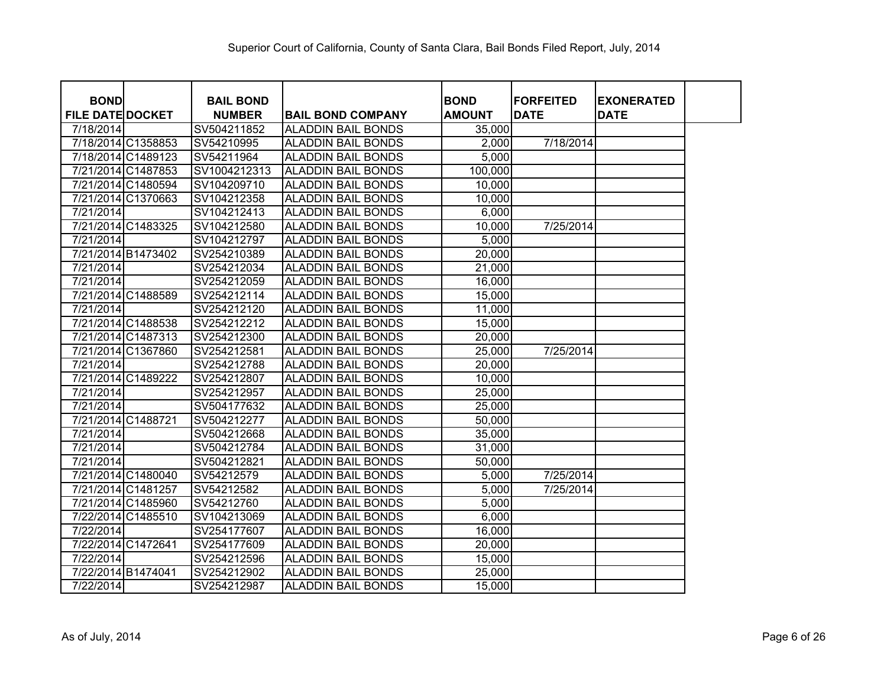| <b>BOND</b>             |                    | <b>BAIL BOND</b> |                           | <b>BOND</b>   | <b>FORFEITED</b> | <b>EXONERATED</b> |
|-------------------------|--------------------|------------------|---------------------------|---------------|------------------|-------------------|
| <b>FILE DATE DOCKET</b> |                    | <b>NUMBER</b>    | <b>BAIL BOND COMPANY</b>  | <b>AMOUNT</b> | <b>DATE</b>      | <b>DATE</b>       |
| 7/18/2014               |                    | SV504211852      | <b>ALADDIN BAIL BONDS</b> | 35,000        |                  |                   |
|                         | 7/18/2014 C1358853 | SV54210995       | <b>ALADDIN BAIL BONDS</b> | 2,000         | 7/18/2014        |                   |
|                         | 7/18/2014 C1489123 | SV54211964       | <b>ALADDIN BAIL BONDS</b> | 5,000         |                  |                   |
|                         | 7/21/2014 C1487853 | SV1004212313     | <b>ALADDIN BAIL BONDS</b> | 100,000       |                  |                   |
|                         | 7/21/2014 C1480594 | SV104209710      | <b>ALADDIN BAIL BONDS</b> | 10,000        |                  |                   |
|                         | 7/21/2014 C1370663 | SV104212358      | <b>ALADDIN BAIL BONDS</b> | 10,000        |                  |                   |
| 7/21/2014               |                    | SV104212413      | <b>ALADDIN BAIL BONDS</b> | 6,000         |                  |                   |
|                         | 7/21/2014 C1483325 | SV104212580      | <b>ALADDIN BAIL BONDS</b> | 10,000        | 7/25/2014        |                   |
| 7/21/2014               |                    | SV104212797      | <b>ALADDIN BAIL BONDS</b> | 5,000         |                  |                   |
|                         | 7/21/2014 B1473402 | SV254210389      | <b>ALADDIN BAIL BONDS</b> | 20,000        |                  |                   |
| 7/21/2014               |                    | SV254212034      | <b>ALADDIN BAIL BONDS</b> | 21,000        |                  |                   |
| 7/21/2014               |                    | SV254212059      | <b>ALADDIN BAIL BONDS</b> | 16,000        |                  |                   |
|                         | 7/21/2014 C1488589 | SV254212114      | <b>ALADDIN BAIL BONDS</b> | 15,000        |                  |                   |
| 7/21/2014               |                    | SV254212120      | <b>ALADDIN BAIL BONDS</b> | 11,000        |                  |                   |
|                         | 7/21/2014 C1488538 | SV254212212      | ALADDIN BAIL BONDS        | 15,000        |                  |                   |
|                         | 7/21/2014 C1487313 | SV254212300      | ALADDIN BAIL BONDS        | 20,000        |                  |                   |
|                         | 7/21/2014 C1367860 | SV254212581      | ALADDIN BAIL BONDS        | 25,000        | 7/25/2014        |                   |
| 7/21/2014               |                    | SV254212788      | <b>ALADDIN BAIL BONDS</b> | 20,000        |                  |                   |
|                         | 7/21/2014 C1489222 | SV254212807      | <b>ALADDIN BAIL BONDS</b> | 10,000        |                  |                   |
| 7/21/2014               |                    | SV254212957      | <b>ALADDIN BAIL BONDS</b> | 25,000        |                  |                   |
| 7/21/2014               |                    | SV504177632      | <b>ALADDIN BAIL BONDS</b> | 25,000        |                  |                   |
|                         | 7/21/2014 C1488721 | SV504212277      | <b>ALADDIN BAIL BONDS</b> | 50,000        |                  |                   |
| 7/21/2014               |                    | SV504212668      | <b>ALADDIN BAIL BONDS</b> | 35,000        |                  |                   |
| 7/21/2014               |                    | SV504212784      | <b>ALADDIN BAIL BONDS</b> | 31,000        |                  |                   |
| 7/21/2014               |                    | SV504212821      | <b>ALADDIN BAIL BONDS</b> | 50,000        |                  |                   |
|                         | 7/21/2014 C1480040 | SV54212579       | <b>ALADDIN BAIL BONDS</b> | 5,000         | 7/25/2014        |                   |
|                         | 7/21/2014 C1481257 | SV54212582       | <b>ALADDIN BAIL BONDS</b> | 5,000         | 7/25/2014        |                   |
|                         | 7/21/2014 C1485960 | SV54212760       | <b>ALADDIN BAIL BONDS</b> | 5,000         |                  |                   |
|                         | 7/22/2014 C1485510 | SV104213069      | <b>ALADDIN BAIL BONDS</b> | 6,000         |                  |                   |
| 7/22/2014               |                    | SV254177607      | <b>ALADDIN BAIL BONDS</b> | 16,000        |                  |                   |
|                         | 7/22/2014 C1472641 | SV254177609      | <b>ALADDIN BAIL BONDS</b> | 20,000        |                  |                   |
| 7/22/2014               |                    | SV254212596      | <b>ALADDIN BAIL BONDS</b> | 15,000        |                  |                   |
|                         | 7/22/2014 B1474041 | SV254212902      | <b>ALADDIN BAIL BONDS</b> | 25,000        |                  |                   |
| 7/22/2014               |                    | SV254212987      | <b>ALADDIN BAIL BONDS</b> | 15,000        |                  |                   |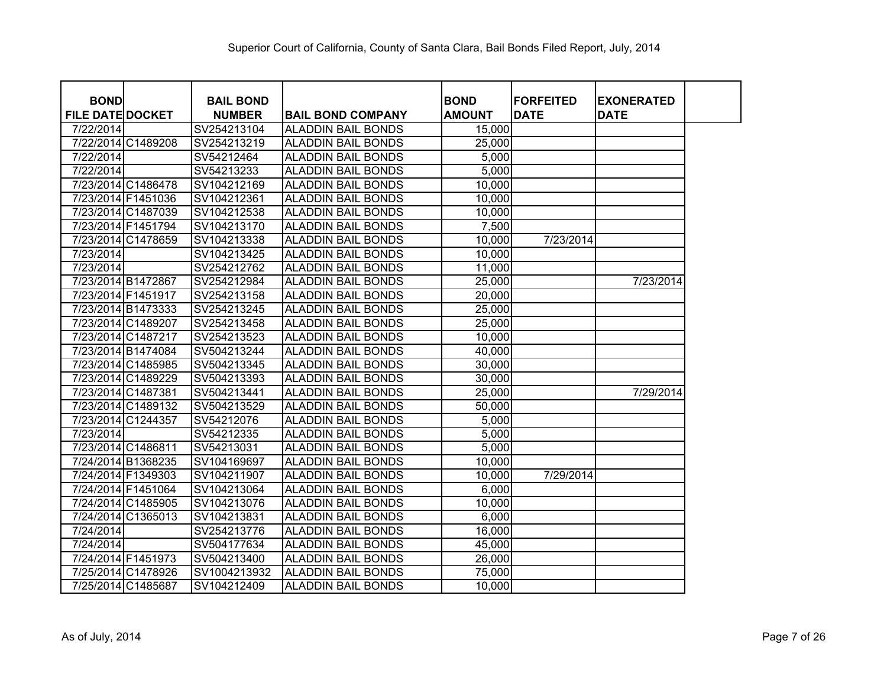| <b>BOND</b>             |                    | <b>BAIL BOND</b> |                           | <b>BOND</b>   | <b>FORFEITED</b> | <b>EXONERATED</b> |
|-------------------------|--------------------|------------------|---------------------------|---------------|------------------|-------------------|
| <b>FILE DATE DOCKET</b> |                    | <b>NUMBER</b>    | <b>BAIL BOND COMPANY</b>  | <b>AMOUNT</b> | <b>DATE</b>      | <b>DATE</b>       |
| 7/22/2014               |                    | SV254213104      | <b>ALADDIN BAIL BONDS</b> | 15,000        |                  |                   |
|                         | 7/22/2014 C1489208 | SV254213219      | <b>ALADDIN BAIL BONDS</b> | 25,000        |                  |                   |
| 7/22/2014               |                    | SV54212464       | <b>ALADDIN BAIL BONDS</b> | 5,000         |                  |                   |
| 7/22/2014               |                    | SV54213233       | <b>ALADDIN BAIL BONDS</b> | 5,000         |                  |                   |
|                         | 7/23/2014 C1486478 | SV104212169      | <b>ALADDIN BAIL BONDS</b> | 10,000        |                  |                   |
|                         | 7/23/2014 F1451036 | SV104212361      | <b>ALADDIN BAIL BONDS</b> | 10,000        |                  |                   |
|                         | 7/23/2014 C1487039 | SV104212538      | <b>ALADDIN BAIL BONDS</b> | 10,000        |                  |                   |
|                         | 7/23/2014 F1451794 | SV104213170      | <b>ALADDIN BAIL BONDS</b> | 7,500         |                  |                   |
|                         | 7/23/2014 C1478659 | SV104213338      | <b>ALADDIN BAIL BONDS</b> | 10,000        | 7/23/2014        |                   |
| 7/23/2014               |                    | SV104213425      | <b>ALADDIN BAIL BONDS</b> | 10,000        |                  |                   |
| 7/23/2014               |                    | SV254212762      | <b>ALADDIN BAIL BONDS</b> | 11,000        |                  |                   |
|                         | 7/23/2014 B1472867 | SV254212984      | <b>ALADDIN BAIL BONDS</b> | 25,000        |                  | 7/23/2014         |
|                         | 7/23/2014 F1451917 | SV254213158      | <b>ALADDIN BAIL BONDS</b> | 20,000        |                  |                   |
|                         | 7/23/2014 B1473333 | SV254213245      | <b>ALADDIN BAIL BONDS</b> | 25,000        |                  |                   |
|                         | 7/23/2014 C1489207 | SV254213458      | <b>ALADDIN BAIL BONDS</b> | 25,000        |                  |                   |
|                         | 7/23/2014 C1487217 | SV254213523      | ALADDIN BAIL BONDS        | 10,000        |                  |                   |
|                         | 7/23/2014 B1474084 | SV504213244      | ALADDIN BAIL BONDS        | 40,000        |                  |                   |
|                         | 7/23/2014 C1485985 | SV504213345      | ALADDIN BAIL BONDS        | 30,000        |                  |                   |
|                         | 7/23/2014 C1489229 | SV504213393      | <b>ALADDIN BAIL BONDS</b> | 30,000        |                  |                   |
|                         | 7/23/2014 C1487381 | SV504213441      | <b>ALADDIN BAIL BONDS</b> | 25,000        |                  | 7/29/2014         |
|                         | 7/23/2014 C1489132 | SV504213529      | <b>ALADDIN BAIL BONDS</b> | 50,000        |                  |                   |
|                         | 7/23/2014 C1244357 | SV54212076       | <b>ALADDIN BAIL BONDS</b> | 5,000         |                  |                   |
| 7/23/2014               |                    | SV54212335       | <b>ALADDIN BAIL BONDS</b> | 5,000         |                  |                   |
|                         | 7/23/2014 C1486811 | SV54213031       | <b>ALADDIN BAIL BONDS</b> | 5,000         |                  |                   |
|                         | 7/24/2014 B1368235 | SV104169697      | <b>ALADDIN BAIL BONDS</b> | 10,000        |                  |                   |
|                         | 7/24/2014 F1349303 | SV104211907      | <b>ALADDIN BAIL BONDS</b> | 10,000        | 7/29/2014        |                   |
|                         | 7/24/2014 F1451064 | SV104213064      | ALADDIN BAIL BONDS        | 6,000         |                  |                   |
|                         | 7/24/2014 C1485905 | SV104213076      | ALADDIN BAIL BONDS        | 10,000        |                  |                   |
|                         | 7/24/2014 C1365013 | SV104213831      | ALADDIN BAIL BONDS        | 6,000         |                  |                   |
| 7/24/2014               |                    | SV254213776      | <b>ALADDIN BAIL BONDS</b> | 16,000        |                  |                   |
| 7/24/2014               |                    | SV504177634      | <b>ALADDIN BAIL BONDS</b> | 45,000        |                  |                   |
|                         | 7/24/2014 F1451973 | SV504213400      | <b>ALADDIN BAIL BONDS</b> | 26,000        |                  |                   |
|                         | 7/25/2014 C1478926 | SV1004213932     | <b>ALADDIN BAIL BONDS</b> | 75,000        |                  |                   |
|                         | 7/25/2014 C1485687 | SV104212409      | <b>ALADDIN BAIL BONDS</b> | 10,000        |                  |                   |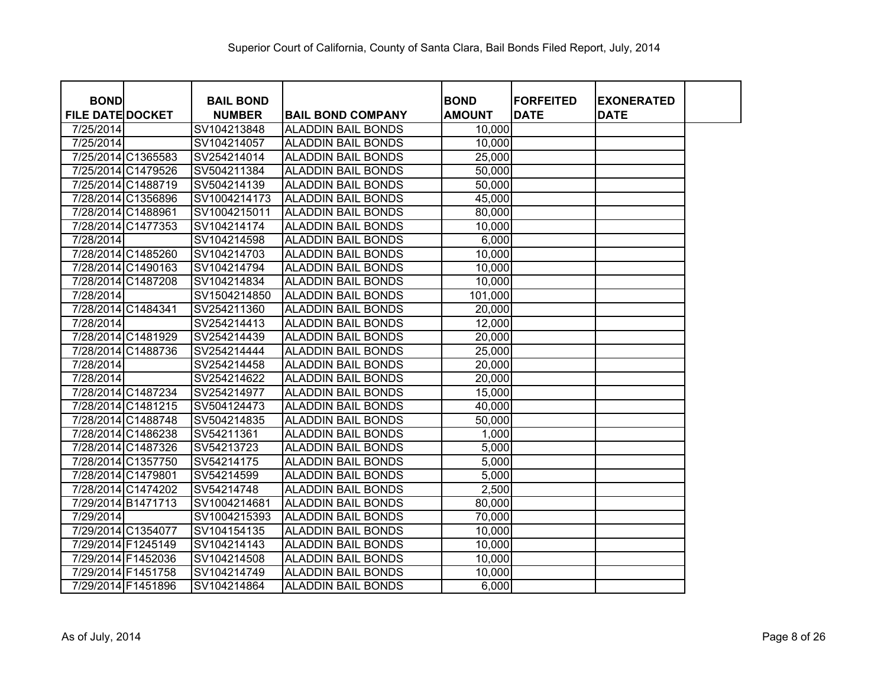| <b>BOND</b>             |                    | <b>BAIL BOND</b> |                           | <b>BOND</b>   | <b>FORFEITED</b> | <b>EXONERATED</b> |  |
|-------------------------|--------------------|------------------|---------------------------|---------------|------------------|-------------------|--|
| <b>FILE DATE DOCKET</b> |                    | <b>NUMBER</b>    | <b>BAIL BOND COMPANY</b>  | <b>AMOUNT</b> | <b>DATE</b>      | <b>DATE</b>       |  |
| 7/25/2014               |                    | SV104213848      | <b>ALADDIN BAIL BONDS</b> | 10,000        |                  |                   |  |
| 7/25/2014               |                    | SV104214057      | <b>ALADDIN BAIL BONDS</b> | 10,000        |                  |                   |  |
|                         | 7/25/2014 C1365583 | SV254214014      | <b>ALADDIN BAIL BONDS</b> | 25,000        |                  |                   |  |
|                         | 7/25/2014 C1479526 | SV504211384      | <b>ALADDIN BAIL BONDS</b> | 50,000        |                  |                   |  |
|                         | 7/25/2014 C1488719 | SV504214139      | <b>ALADDIN BAIL BONDS</b> | 50,000        |                  |                   |  |
|                         | 7/28/2014 C1356896 | SV1004214173     | <b>ALADDIN BAIL BONDS</b> | 45,000        |                  |                   |  |
| 7/28/2014 C1488961      |                    | SV1004215011     | <b>ALADDIN BAIL BONDS</b> | 80,000        |                  |                   |  |
|                         | 7/28/2014 C1477353 | SV104214174      | <b>ALADDIN BAIL BONDS</b> | 10,000        |                  |                   |  |
| 7/28/2014               |                    | SV104214598      | <b>ALADDIN BAIL BONDS</b> | 6,000         |                  |                   |  |
|                         | 7/28/2014 C1485260 | SV104214703      | <b>ALADDIN BAIL BONDS</b> | 10,000        |                  |                   |  |
|                         | 7/28/2014 C1490163 | SV104214794      | <b>ALADDIN BAIL BONDS</b> | 10,000        |                  |                   |  |
|                         | 7/28/2014 C1487208 | SV104214834      | <b>ALADDIN BAIL BONDS</b> | 10,000        |                  |                   |  |
| 7/28/2014               |                    | SV1504214850     | <b>ALADDIN BAIL BONDS</b> | 101,000       |                  |                   |  |
| 7/28/2014 C1484341      |                    | SV254211360      | <b>ALADDIN BAIL BONDS</b> | 20,000        |                  |                   |  |
| 7/28/2014               |                    | SV254214413      | <b>ALADDIN BAIL BONDS</b> | 12,000        |                  |                   |  |
|                         | 7/28/2014 C1481929 | SV254214439      | <b>ALADDIN BAIL BONDS</b> | 20,000        |                  |                   |  |
|                         | 7/28/2014 C1488736 | SV254214444      | <b>ALADDIN BAIL BONDS</b> | 25,000        |                  |                   |  |
| 7/28/2014               |                    | SV254214458      | <b>ALADDIN BAIL BONDS</b> | 20,000        |                  |                   |  |
| 7/28/2014               |                    | SV254214622      | <b>ALADDIN BAIL BONDS</b> | 20,000        |                  |                   |  |
|                         | 7/28/2014 C1487234 | SV254214977      | <b>ALADDIN BAIL BONDS</b> | 15,000        |                  |                   |  |
|                         | 7/28/2014 C1481215 | SV504124473      | <b>ALADDIN BAIL BONDS</b> | 40,000        |                  |                   |  |
|                         | 7/28/2014 C1488748 | SV504214835      | <b>ALADDIN BAIL BONDS</b> | 50,000        |                  |                   |  |
|                         | 7/28/2014 C1486238 | SV54211361       | <b>ALADDIN BAIL BONDS</b> | 1,000         |                  |                   |  |
|                         | 7/28/2014 C1487326 | SV54213723       | <b>ALADDIN BAIL BONDS</b> | 5,000         |                  |                   |  |
|                         | 7/28/2014 C1357750 | SV54214175       | <b>ALADDIN BAIL BONDS</b> | 5,000         |                  |                   |  |
| 7/28/2014 C1479801      |                    | SV54214599       | <b>ALADDIN BAIL BONDS</b> | 5,000         |                  |                   |  |
|                         | 7/28/2014 C1474202 | SV54214748       | <b>ALADDIN BAIL BONDS</b> | 2,500         |                  |                   |  |
|                         | 7/29/2014 B1471713 | SV1004214681     | <b>ALADDIN BAIL BONDS</b> | 80,000        |                  |                   |  |
| 7/29/2014               |                    | SV1004215393     | <b>ALADDIN BAIL BONDS</b> | 70,000        |                  |                   |  |
|                         | 7/29/2014 C1354077 | SV104154135      | <b>ALADDIN BAIL BONDS</b> | 10,000        |                  |                   |  |
| 7/29/2014 F1245149      |                    | SV104214143      | <b>ALADDIN BAIL BONDS</b> | 10,000        |                  |                   |  |
| 7/29/2014 F1452036      |                    | SV104214508      | <b>ALADDIN BAIL BONDS</b> | 10,000        |                  |                   |  |
| 7/29/2014 F1451758      |                    | SV104214749      | <b>ALADDIN BAIL BONDS</b> | 10,000        |                  |                   |  |
| 7/29/2014 F1451896      |                    | SV104214864      | <b>ALADDIN BAIL BONDS</b> | 6,000         |                  |                   |  |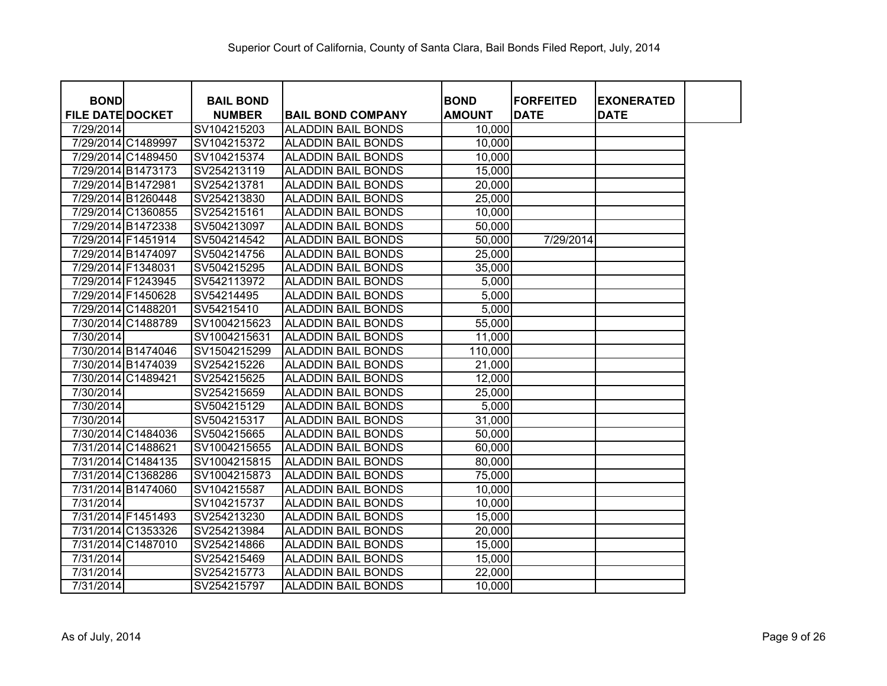| <b>BOND</b>             |                    | <b>BAIL BOND</b> |                           | <b>BOND</b>   | <b>FORFEITED</b> | <b>EXONERATED</b> |
|-------------------------|--------------------|------------------|---------------------------|---------------|------------------|-------------------|
| <b>FILE DATE DOCKET</b> |                    | <b>NUMBER</b>    | <b>BAIL BOND COMPANY</b>  | <b>AMOUNT</b> | <b>DATE</b>      | <b>DATE</b>       |
| 7/29/2014               |                    | SV104215203      | <b>ALADDIN BAIL BONDS</b> | 10,000        |                  |                   |
|                         | 7/29/2014 C1489997 | SV104215372      | <b>ALADDIN BAIL BONDS</b> | 10,000        |                  |                   |
|                         | 7/29/2014 C1489450 | SV104215374      | <b>ALADDIN BAIL BONDS</b> | 10,000        |                  |                   |
|                         | 7/29/2014 B1473173 | SV254213119      | <b>ALADDIN BAIL BONDS</b> | 15,000        |                  |                   |
|                         | 7/29/2014 B1472981 | SV254213781      | <b>ALADDIN BAIL BONDS</b> | 20,000        |                  |                   |
|                         | 7/29/2014 B1260448 | SV254213830      | <b>ALADDIN BAIL BONDS</b> | 25,000        |                  |                   |
|                         | 7/29/2014 C1360855 | SV254215161      | <b>ALADDIN BAIL BONDS</b> | 10,000        |                  |                   |
|                         | 7/29/2014 B1472338 | SV504213097      | <b>ALADDIN BAIL BONDS</b> | 50,000        |                  |                   |
|                         | 7/29/2014 F1451914 | SV504214542      | <b>ALADDIN BAIL BONDS</b> | 50,000        | 7/29/2014        |                   |
|                         | 7/29/2014 B1474097 | SV504214756      | <b>ALADDIN BAIL BONDS</b> | 25,000        |                  |                   |
|                         | 7/29/2014 F1348031 | SV504215295      | <b>ALADDIN BAIL BONDS</b> | 35,000        |                  |                   |
|                         | 7/29/2014 F1243945 | SV542113972      | <b>ALADDIN BAIL BONDS</b> | 5,000         |                  |                   |
|                         | 7/29/2014 F1450628 | SV54214495       | <b>ALADDIN BAIL BONDS</b> | 5,000         |                  |                   |
|                         | 7/29/2014 C1488201 | SV54215410       | <b>ALADDIN BAIL BONDS</b> | 5,000         |                  |                   |
|                         | 7/30/2014 C1488789 | SV1004215623     | <b>ALADDIN BAIL BONDS</b> | 55,000        |                  |                   |
| 7/30/2014               |                    | SV1004215631     | <b>ALADDIN BAIL BONDS</b> | 11,000        |                  |                   |
|                         | 7/30/2014 B1474046 | SV1504215299     | <b>ALADDIN BAIL BONDS</b> | 110,000       |                  |                   |
|                         | 7/30/2014 B1474039 | SV254215226      | <b>ALADDIN BAIL BONDS</b> | 21,000        |                  |                   |
|                         | 7/30/2014 C1489421 | SV254215625      | <b>ALADDIN BAIL BONDS</b> | 12,000        |                  |                   |
| 7/30/2014               |                    | SV254215659      | <b>ALADDIN BAIL BONDS</b> | 25,000        |                  |                   |
| 7/30/2014               |                    | SV504215129      | <b>ALADDIN BAIL BONDS</b> | 5,000         |                  |                   |
| 7/30/2014               |                    | SV504215317      | <b>ALADDIN BAIL BONDS</b> | 31,000        |                  |                   |
|                         | 7/30/2014 C1484036 | SV504215665      | <b>ALADDIN BAIL BONDS</b> | 50,000        |                  |                   |
|                         | 7/31/2014 C1488621 | SV1004215655     | <b>ALADDIN BAIL BONDS</b> | 60,000        |                  |                   |
|                         | 7/31/2014 C1484135 | SV1004215815     | <b>ALADDIN BAIL BONDS</b> | 80,000        |                  |                   |
|                         | 7/31/2014 C1368286 | SV1004215873     | <b>ALADDIN BAIL BONDS</b> | 75,000        |                  |                   |
|                         | 7/31/2014 B1474060 | SV104215587      | <b>ALADDIN BAIL BONDS</b> | 10,000        |                  |                   |
| 7/31/2014               |                    | SV104215737      | <b>ALADDIN BAIL BONDS</b> | 10,000        |                  |                   |
|                         | 7/31/2014 F1451493 | SV254213230      | <b>ALADDIN BAIL BONDS</b> | 15,000        |                  |                   |
|                         | 7/31/2014 C1353326 | SV254213984      | <b>ALADDIN BAIL BONDS</b> | 20,000        |                  |                   |
|                         | 7/31/2014 C1487010 | SV254214866      | <b>ALADDIN BAIL BONDS</b> | 15,000        |                  |                   |
| 7/31/2014               |                    | SV254215469      | <b>ALADDIN BAIL BONDS</b> | 15,000        |                  |                   |
| 7/31/2014               |                    | SV254215773      | <b>ALADDIN BAIL BONDS</b> | 22,000        |                  |                   |
| 7/31/2014               |                    | SV254215797      | <b>ALADDIN BAIL BONDS</b> | 10,000        |                  |                   |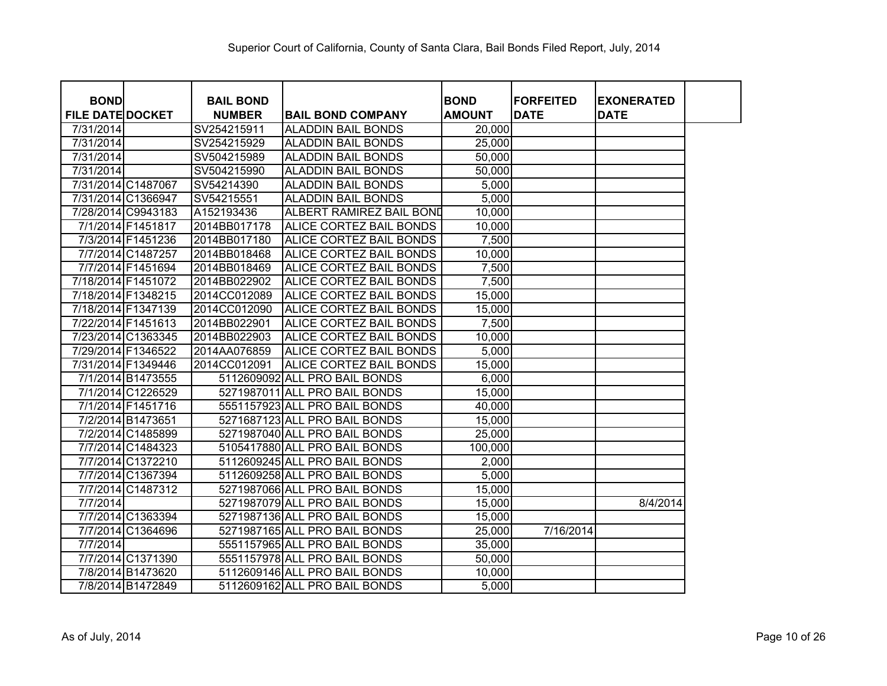| <b>BOND</b>             |                    | <b>BAIL BOND</b> |                                 | <b>BOND</b>   | <b>FORFEITED</b> | <b>EXONERATED</b> |
|-------------------------|--------------------|------------------|---------------------------------|---------------|------------------|-------------------|
| <b>FILE DATE DOCKET</b> |                    | <b>NUMBER</b>    | <b>BAIL BOND COMPANY</b>        | <b>AMOUNT</b> | <b>DATE</b>      | <b>DATE</b>       |
| 7/31/2014               |                    | SV254215911      | <b>ALADDIN BAIL BONDS</b>       | 20,000        |                  |                   |
| 7/31/2014               |                    | SV254215929      | <b>ALADDIN BAIL BONDS</b>       | 25,000        |                  |                   |
| 7/31/2014               |                    | SV504215989      | <b>ALADDIN BAIL BONDS</b>       | 50,000        |                  |                   |
| 7/31/2014               |                    | SV504215990      | <b>ALADDIN BAIL BONDS</b>       | 50,000        |                  |                   |
|                         | 7/31/2014 C1487067 | SV54214390       | <b>ALADDIN BAIL BONDS</b>       | 5,000         |                  |                   |
|                         | 7/31/2014 C1366947 | SV54215551       | <b>ALADDIN BAIL BONDS</b>       | 5,000         |                  |                   |
|                         | 7/28/2014 C9943183 | A152193436       | <b>ALBERT RAMIREZ BAIL BOND</b> | 10,000        |                  |                   |
|                         | 7/1/2014 F1451817  | 2014BB017178     | <b>ALICE CORTEZ BAIL BONDS</b>  | 10,000        |                  |                   |
|                         | 7/3/2014 F1451236  | 2014BB017180     | <b>ALICE CORTEZ BAIL BONDS</b>  | 7,500         |                  |                   |
|                         | 7/7/2014 C1487257  | 2014BB018468     | <b>ALICE CORTEZ BAIL BONDS</b>  | 10,000        |                  |                   |
|                         | 7/7/2014 F1451694  | 2014BB018469     | <b>ALICE CORTEZ BAIL BONDS</b>  | 7,500         |                  |                   |
|                         | 7/18/2014 F1451072 | 2014BB022902     | <b>ALICE CORTEZ BAIL BONDS</b>  | 7,500         |                  |                   |
|                         | 7/18/2014 F1348215 | 2014CC012089     | <b>ALICE CORTEZ BAIL BONDS</b>  | 15,000        |                  |                   |
|                         | 7/18/2014 F1347139 | 2014CC012090     | <b>ALICE CORTEZ BAIL BONDS</b>  | 15,000        |                  |                   |
|                         | 7/22/2014 F1451613 | 2014BB022901     | <b>ALICE CORTEZ BAIL BONDS</b>  | 7,500         |                  |                   |
|                         | 7/23/2014 C1363345 | 2014BB022903     | <b>ALICE CORTEZ BAIL BONDS</b>  | 10,000        |                  |                   |
|                         | 7/29/2014 F1346522 | 2014AA076859     | <b>ALICE CORTEZ BAIL BONDS</b>  | 5,000         |                  |                   |
|                         | 7/31/2014 F1349446 | 2014CC012091     | <b>ALICE CORTEZ BAIL BONDS</b>  | 15,000        |                  |                   |
|                         | 7/1/2014 B1473555  |                  | 5112609092 ALL PRO BAIL BONDS   | 6,000         |                  |                   |
|                         | 7/1/2014 C1226529  |                  | 5271987011 ALL PRO BAIL BONDS   | 15,000        |                  |                   |
|                         | 7/1/2014 F1451716  |                  | 5551157923 ALL PRO BAIL BONDS   | 40,000        |                  |                   |
|                         | 7/2/2014 B1473651  |                  | 5271687123 ALL PRO BAIL BONDS   | 15,000        |                  |                   |
|                         | 7/2/2014 C1485899  |                  | 5271987040 ALL PRO BAIL BONDS   | 25,000        |                  |                   |
|                         | 7/7/2014 C1484323  |                  | 5105417880 ALL PRO BAIL BONDS   | 100,000       |                  |                   |
|                         | 7/7/2014 C1372210  |                  | 5112609245 ALL PRO BAIL BONDS   | 2,000         |                  |                   |
|                         | 7/7/2014 C1367394  |                  | 5112609258 ALL PRO BAIL BONDS   | 5,000         |                  |                   |
|                         | 7/7/2014 C1487312  |                  | 5271987066 ALL PRO BAIL BONDS   | 15,000        |                  |                   |
| 7/7/2014                |                    |                  | 5271987079 ALL PRO BAIL BONDS   | 15,000        |                  | 8/4/2014          |
|                         | 7/7/2014 C1363394  |                  | 5271987136 ALL PRO BAIL BONDS   | 15,000        |                  |                   |
|                         | 7/7/2014 C1364696  |                  | 5271987165 ALL PRO BAIL BONDS   | 25,000        | 7/16/2014        |                   |
| 7/7/2014                |                    |                  | 5551157965 ALL PRO BAIL BONDS   | 35,000        |                  |                   |
|                         | 7/7/2014 C1371390  |                  | 5551157978 ALL PRO BAIL BONDS   | 50,000        |                  |                   |
|                         | 7/8/2014 B1473620  |                  | 5112609146 ALL PRO BAIL BONDS   | 10,000        |                  |                   |
|                         | 7/8/2014 B1472849  |                  | 5112609162 ALL PRO BAIL BONDS   | 5,000         |                  |                   |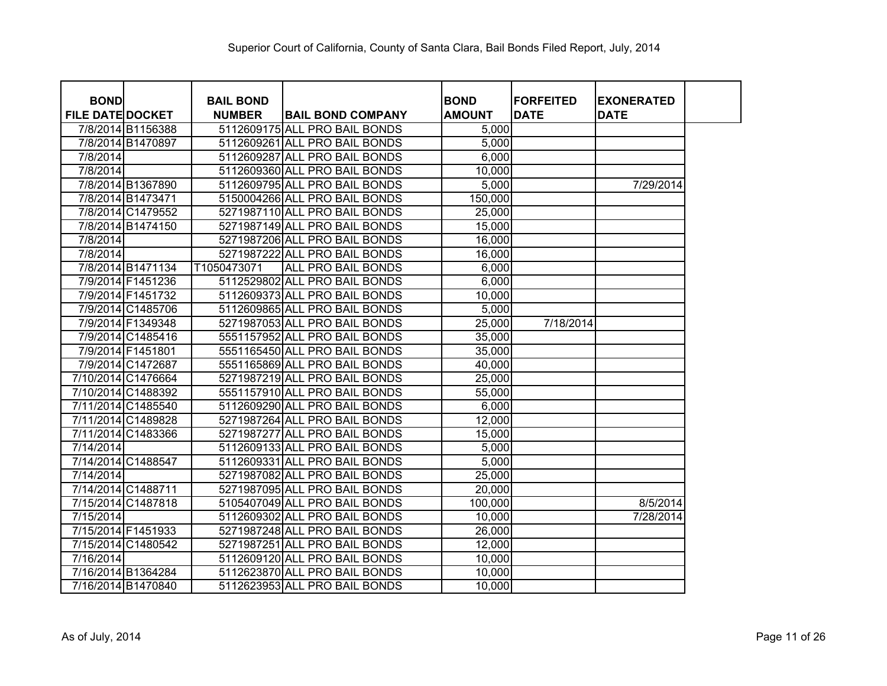| <b>BOND</b>             |                    | <b>BAIL BOND</b> |                               | <b>BOND</b>   | <b>FORFEITED</b> | <b>EXONERATED</b> |
|-------------------------|--------------------|------------------|-------------------------------|---------------|------------------|-------------------|
| <b>FILE DATE DOCKET</b> |                    | <b>NUMBER</b>    | <b>BAIL BOND COMPANY</b>      | <b>AMOUNT</b> | <b>DATE</b>      | <b>DATE</b>       |
|                         | 7/8/2014 B1156388  |                  | 5112609175 ALL PRO BAIL BONDS | 5,000         |                  |                   |
|                         | 7/8/2014 B1470897  |                  | 5112609261 ALL PRO BAIL BONDS | 5,000         |                  |                   |
| 7/8/2014                |                    |                  | 5112609287 ALL PRO BAIL BONDS | 6,000         |                  |                   |
| 7/8/2014                |                    |                  | 5112609360 ALL PRO BAIL BONDS | 10,000        |                  |                   |
|                         | 7/8/2014 B1367890  |                  | 5112609795 ALL PRO BAIL BONDS | 5,000         |                  | 7/29/2014         |
|                         | 7/8/2014 B1473471  |                  | 5150004266 ALL PRO BAIL BONDS | 150,000       |                  |                   |
|                         | 7/8/2014 C1479552  |                  | 5271987110 ALL PRO BAIL BONDS | 25,000        |                  |                   |
|                         | 7/8/2014 B1474150  |                  | 5271987149 ALL PRO BAIL BONDS | 15,000        |                  |                   |
| 7/8/2014                |                    |                  | 5271987206 ALL PRO BAIL BONDS | 16,000        |                  |                   |
| 7/8/2014                |                    |                  | 5271987222 ALL PRO BAIL BONDS | 16,000        |                  |                   |
|                         | 7/8/2014 B1471134  | T1050473071      | <b>ALL PRO BAIL BONDS</b>     | 6,000         |                  |                   |
|                         | 7/9/2014 F1451236  |                  | 5112529802 ALL PRO BAIL BONDS | 6,000         |                  |                   |
|                         | 7/9/2014 F1451732  |                  | 5112609373 ALL PRO BAIL BONDS | 10,000        |                  |                   |
|                         | 7/9/2014 C1485706  |                  | 5112609865 ALL PRO BAIL BONDS | 5,000         |                  |                   |
|                         | 7/9/2014 F1349348  |                  | 5271987053 ALL PRO BAIL BONDS | 25,000        | 7/18/2014        |                   |
|                         | 7/9/2014 C1485416  |                  | 5551157952 ALL PRO BAIL BONDS | 35,000        |                  |                   |
|                         | 7/9/2014 F1451801  |                  | 5551165450 ALL PRO BAIL BONDS | 35,000        |                  |                   |
|                         | 7/9/2014 C1472687  |                  | 5551165869 ALL PRO BAIL BONDS | 40,000        |                  |                   |
|                         | 7/10/2014 C1476664 |                  | 5271987219 ALL PRO BAIL BONDS | 25,000        |                  |                   |
|                         | 7/10/2014 C1488392 |                  | 5551157910 ALL PRO BAIL BONDS | 55,000        |                  |                   |
|                         | 7/11/2014 C1485540 |                  | 5112609290 ALL PRO BAIL BONDS | 6,000         |                  |                   |
|                         | 7/11/2014 C1489828 |                  | 5271987264 ALL PRO BAIL BONDS | 12,000        |                  |                   |
|                         | 7/11/2014 C1483366 |                  | 5271987277 ALL PRO BAIL BONDS | 15,000        |                  |                   |
| 7/14/2014               |                    |                  | 5112609133 ALL PRO BAIL BONDS | 5,000         |                  |                   |
|                         | 7/14/2014 C1488547 |                  | 5112609331 ALL PRO BAIL BONDS | 5,000         |                  |                   |
| 7/14/2014               |                    |                  | 5271987082 ALL PRO BAIL BONDS | 25,000        |                  |                   |
|                         | 7/14/2014 C1488711 |                  | 5271987095 ALL PRO BAIL BONDS | 20,000        |                  |                   |
|                         | 7/15/2014 C1487818 |                  | 5105407049 ALL PRO BAIL BONDS | 100,000       |                  | 8/5/2014          |
| 7/15/2014               |                    |                  | 5112609302 ALL PRO BAIL BONDS | 10,000        |                  | 7/28/2014         |
|                         | 7/15/2014 F1451933 |                  | 5271987248 ALL PRO BAIL BONDS | 26,000        |                  |                   |
|                         | 7/15/2014 C1480542 |                  | 5271987251 ALL PRO BAIL BONDS | 12,000        |                  |                   |
| 7/16/2014               |                    |                  | 5112609120 ALL PRO BAIL BONDS | 10,000        |                  |                   |
|                         | 7/16/2014 B1364284 |                  | 5112623870 ALL PRO BAIL BONDS | 10,000        |                  |                   |
|                         | 7/16/2014 B1470840 |                  | 5112623953 ALL PRO BAIL BONDS | 10,000        |                  |                   |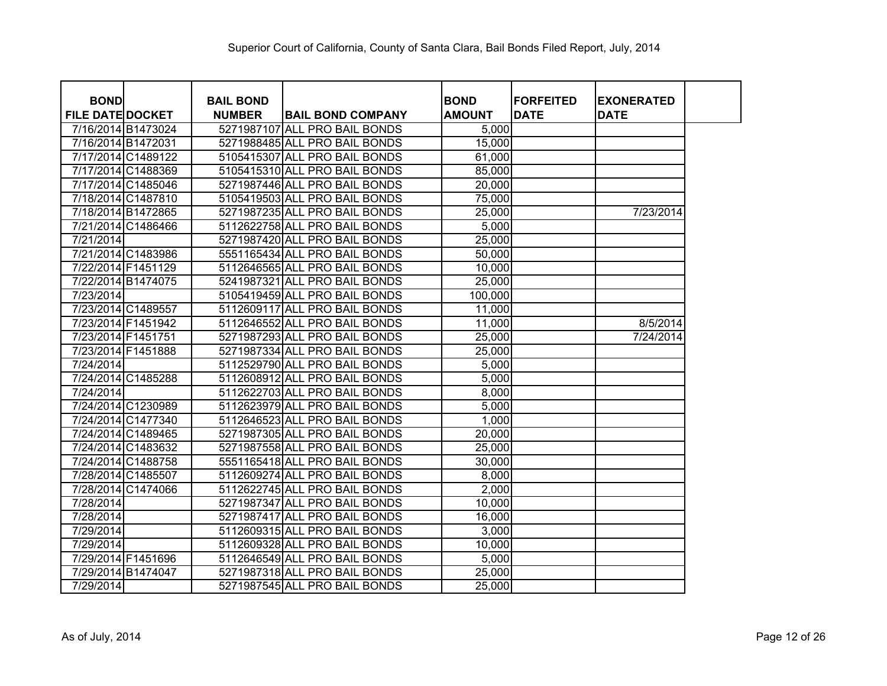| <b>BOND</b>             |                    | <b>BAIL BOND</b> |                               | <b>BOND</b>   | <b>FORFEITED</b> | <b>EXONERATED</b> |
|-------------------------|--------------------|------------------|-------------------------------|---------------|------------------|-------------------|
| <b>FILE DATE DOCKET</b> |                    | <b>NUMBER</b>    | <b>BAIL BOND COMPANY</b>      | <b>AMOUNT</b> | <b>DATE</b>      | <b>DATE</b>       |
|                         | 7/16/2014 B1473024 |                  | 5271987107 ALL PRO BAIL BONDS | 5,000         |                  |                   |
|                         | 7/16/2014 B1472031 |                  | 5271988485 ALL PRO BAIL BONDS | 15,000        |                  |                   |
|                         | 7/17/2014 C1489122 |                  | 5105415307 ALL PRO BAIL BONDS | 61,000        |                  |                   |
|                         | 7/17/2014 C1488369 |                  | 5105415310 ALL PRO BAIL BONDS | 85,000        |                  |                   |
|                         | 7/17/2014 C1485046 |                  | 5271987446 ALL PRO BAIL BONDS | 20,000        |                  |                   |
|                         | 7/18/2014 C1487810 |                  | 5105419503 ALL PRO BAIL BONDS | 75,000        |                  |                   |
|                         | 7/18/2014 B1472865 |                  | 5271987235 ALL PRO BAIL BONDS | 25,000        |                  | 7/23/2014         |
|                         | 7/21/2014 C1486466 |                  | 5112622758 ALL PRO BAIL BONDS | 5,000         |                  |                   |
| 7/21/2014               |                    |                  | 5271987420 ALL PRO BAIL BONDS | 25,000        |                  |                   |
|                         | 7/21/2014 C1483986 |                  | 5551165434 ALL PRO BAIL BONDS | 50,000        |                  |                   |
|                         | 7/22/2014 F1451129 |                  | 5112646565 ALL PRO BAIL BONDS | 10,000        |                  |                   |
|                         | 7/22/2014 B1474075 |                  | 5241987321 ALL PRO BAIL BONDS | 25,000        |                  |                   |
| 7/23/2014               |                    |                  | 5105419459 ALL PRO BAIL BONDS | 100,000       |                  |                   |
|                         | 7/23/2014 C1489557 |                  | 5112609117 ALL PRO BAIL BONDS | 11,000        |                  |                   |
|                         | 7/23/2014 F1451942 |                  | 5112646552 ALL PRO BAIL BONDS | 11,000        |                  | 8/5/2014          |
|                         | 7/23/2014 F1451751 |                  | 5271987293 ALL PRO BAIL BONDS | 25,000        |                  | 7/24/2014         |
|                         | 7/23/2014 F1451888 |                  | 5271987334 ALL PRO BAIL BONDS | 25,000        |                  |                   |
| 7/24/2014               |                    |                  | 5112529790 ALL PRO BAIL BONDS | 5,000         |                  |                   |
|                         | 7/24/2014 C1485288 |                  | 5112608912 ALL PRO BAIL BONDS | 5,000         |                  |                   |
| 7/24/2014               |                    |                  | 5112622703 ALL PRO BAIL BONDS | 8,000         |                  |                   |
|                         | 7/24/2014 C1230989 |                  | 5112623979 ALL PRO BAIL BONDS | 5,000         |                  |                   |
|                         | 7/24/2014 C1477340 |                  | 5112646523 ALL PRO BAIL BONDS | 1,000         |                  |                   |
|                         | 7/24/2014 C1489465 |                  | 5271987305 ALL PRO BAIL BONDS | 20,000        |                  |                   |
|                         | 7/24/2014 C1483632 |                  | 5271987558 ALL PRO BAIL BONDS | 25,000        |                  |                   |
|                         | 7/24/2014 C1488758 |                  | 5551165418 ALL PRO BAIL BONDS | 30,000        |                  |                   |
|                         | 7/28/2014 C1485507 |                  | 5112609274 ALL PRO BAIL BONDS | 8,000         |                  |                   |
|                         | 7/28/2014 C1474066 |                  | 5112622745 ALL PRO BAIL BONDS | 2,000         |                  |                   |
| 7/28/2014               |                    |                  | 5271987347 ALL PRO BAIL BONDS | 10,000        |                  |                   |
| 7/28/2014               |                    |                  | 5271987417 ALL PRO BAIL BONDS | 16,000        |                  |                   |
| 7/29/2014               |                    |                  | 5112609315 ALL PRO BAIL BONDS | 3,000         |                  |                   |
| 7/29/2014               |                    |                  | 5112609328 ALL PRO BAIL BONDS | 10,000        |                  |                   |
|                         | 7/29/2014 F1451696 |                  | 5112646549 ALL PRO BAIL BONDS | 5,000         |                  |                   |
|                         | 7/29/2014 B1474047 |                  | 5271987318 ALL PRO BAIL BONDS | 25,000        |                  |                   |
| 7/29/2014               |                    |                  | 5271987545 ALL PRO BAIL BONDS | 25,000        |                  |                   |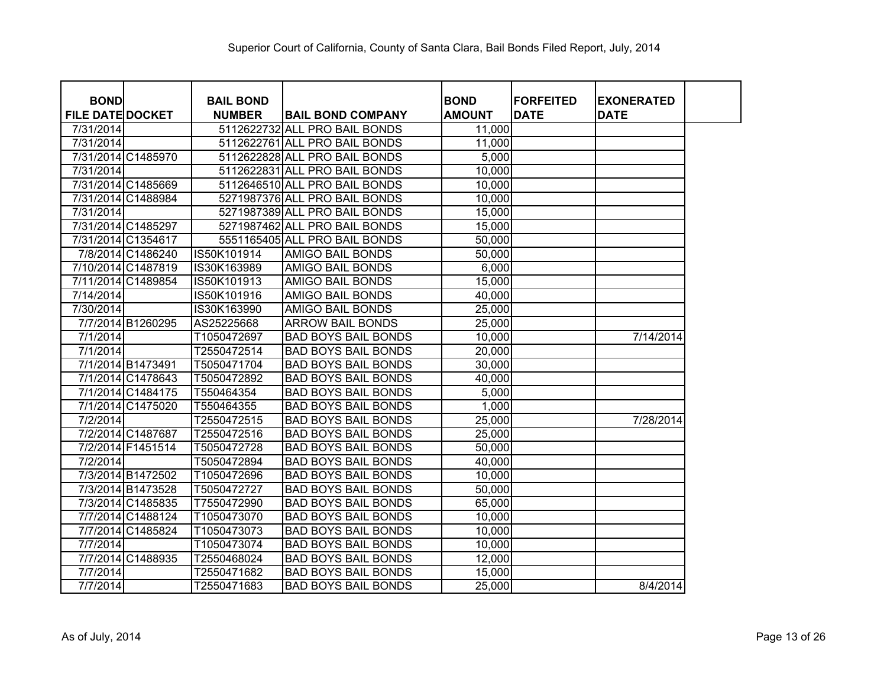| <b>BOND</b>             |                    | <b>BAIL BOND</b> |                               | <b>BOND</b>   | <b>FORFEITED</b> | <b>EXONERATED</b> |
|-------------------------|--------------------|------------------|-------------------------------|---------------|------------------|-------------------|
| <b>FILE DATE DOCKET</b> |                    | <b>NUMBER</b>    | <b>BAIL BOND COMPANY</b>      | <b>AMOUNT</b> | <b>DATE</b>      | <b>DATE</b>       |
| 7/31/2014               |                    |                  | 5112622732 ALL PRO BAIL BONDS | 11,000        |                  |                   |
| 7/31/2014               |                    |                  | 5112622761 ALL PRO BAIL BONDS | 11,000        |                  |                   |
|                         | 7/31/2014 C1485970 |                  | 5112622828 ALL PRO BAIL BONDS | 5,000         |                  |                   |
| 7/31/2014               |                    |                  | 5112622831 ALL PRO BAIL BONDS | 10,000        |                  |                   |
|                         | 7/31/2014 C1485669 |                  | 5112646510 ALL PRO BAIL BONDS | 10,000        |                  |                   |
|                         | 7/31/2014 C1488984 |                  | 5271987376 ALL PRO BAIL BONDS | 10,000        |                  |                   |
| 7/31/2014               |                    |                  | 5271987389 ALL PRO BAIL BONDS | 15,000        |                  |                   |
|                         | 7/31/2014 C1485297 |                  | 5271987462 ALL PRO BAIL BONDS | 15,000        |                  |                   |
|                         | 7/31/2014 C1354617 |                  | 5551165405 ALL PRO BAIL BONDS | 50,000        |                  |                   |
|                         | 7/8/2014 C1486240  | IS50K101914      | <b>AMIGO BAIL BONDS</b>       | 50,000        |                  |                   |
|                         | 7/10/2014 C1487819 | IS30K163989      | <b>AMIGO BAIL BONDS</b>       | 6,000         |                  |                   |
|                         | 7/11/2014 C1489854 | IS50K101913      | <b>AMIGO BAIL BONDS</b>       | 15,000        |                  |                   |
| 7/14/2014               |                    | IS50K101916      | <b>AMIGO BAIL BONDS</b>       | 40,000        |                  |                   |
| 7/30/2014               |                    | IS30K163990      | <b>AMIGO BAIL BONDS</b>       | 25,000        |                  |                   |
|                         | 7/7/2014 B1260295  | AS25225668       | <b>ARROW BAIL BONDS</b>       | 25,000        |                  |                   |
| 7/1/2014                |                    | T1050472697      | <b>BAD BOYS BAIL BONDS</b>    | 10,000        |                  | 7/14/2014         |
| 7/1/2014                |                    | T2550472514      | <b>BAD BOYS BAIL BONDS</b>    | 20,000        |                  |                   |
|                         | 7/1/2014 B1473491  | T5050471704      | <b>BAD BOYS BAIL BONDS</b>    | 30,000        |                  |                   |
|                         | 7/1/2014 C1478643  | T5050472892      | <b>BAD BOYS BAIL BONDS</b>    | 40,000        |                  |                   |
|                         | 7/1/2014 C1484175  | T550464354       | <b>BAD BOYS BAIL BONDS</b>    | 5,000         |                  |                   |
|                         | 7/1/2014 C1475020  | T550464355       | <b>BAD BOYS BAIL BONDS</b>    | 1,000         |                  |                   |
| 7/2/2014                |                    | T2550472515      | <b>BAD BOYS BAIL BONDS</b>    | 25,000        |                  | 7/28/2014         |
|                         | 7/2/2014 C1487687  | T2550472516      | <b>BAD BOYS BAIL BONDS</b>    | 25,000        |                  |                   |
|                         | 7/2/2014 F1451514  | T5050472728      | <b>BAD BOYS BAIL BONDS</b>    | 50,000        |                  |                   |
| 7/2/2014                |                    | T5050472894      | <b>BAD BOYS BAIL BONDS</b>    | 40,000        |                  |                   |
|                         | 7/3/2014 B1472502  | T1050472696      | <b>BAD BOYS BAIL BONDS</b>    | 10,000        |                  |                   |
|                         | 7/3/2014 B1473528  | T5050472727      | <b>BAD BOYS BAIL BONDS</b>    | 50,000        |                  |                   |
|                         | 7/3/2014 C1485835  | T7550472990      | <b>BAD BOYS BAIL BONDS</b>    | 65,000        |                  |                   |
|                         | 7/7/2014 C1488124  | T1050473070      | <b>BAD BOYS BAIL BONDS</b>    | 10,000        |                  |                   |
|                         | 7/7/2014 C1485824  | T1050473073      | <b>BAD BOYS BAIL BONDS</b>    | 10,000        |                  |                   |
| 7/7/2014                |                    | T1050473074      | <b>BAD BOYS BAIL BONDS</b>    | 10,000        |                  |                   |
|                         | 7/7/2014 C1488935  | T2550468024      | <b>BAD BOYS BAIL BONDS</b>    | 12,000        |                  |                   |
| 7/7/2014                |                    | T2550471682      | <b>BAD BOYS BAIL BONDS</b>    | 15,000        |                  |                   |
| 7/7/2014                |                    | T2550471683      | <b>BAD BOYS BAIL BONDS</b>    | 25,000        |                  | 8/4/2014          |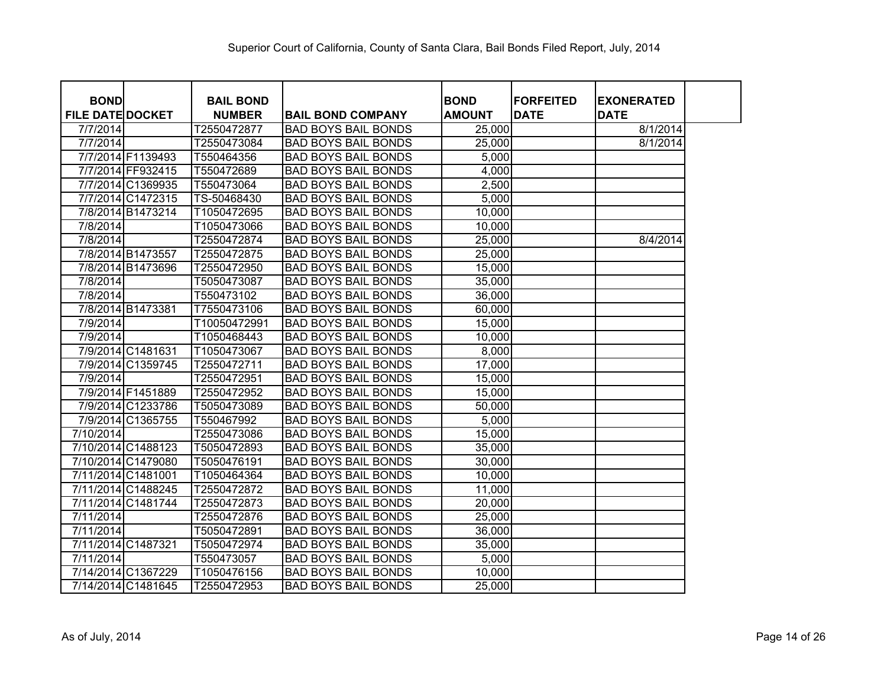| <b>BOND</b>             |                    | <b>BAIL BOND</b> |                            | <b>BOND</b>   | <b>FORFEITED</b> | <b>EXONERATED</b> |
|-------------------------|--------------------|------------------|----------------------------|---------------|------------------|-------------------|
| <b>FILE DATE DOCKET</b> |                    | <b>NUMBER</b>    | <b>BAIL BOND COMPANY</b>   | <b>AMOUNT</b> | <b>DATE</b>      | <b>DATE</b>       |
| 7/7/2014                |                    | T2550472877      | <b>BAD BOYS BAIL BONDS</b> | 25,000        |                  | 8/1/2014          |
| 7/7/2014                |                    | T2550473084      | <b>BAD BOYS BAIL BONDS</b> | 25,000        |                  | 8/1/2014          |
|                         | 7/7/2014 F1139493  | T550464356       | <b>BAD BOYS BAIL BONDS</b> | 5,000         |                  |                   |
|                         | 7/7/2014 FF932415  | T550472689       | <b>BAD BOYS BAIL BONDS</b> | 4,000         |                  |                   |
|                         | 7/7/2014 C1369935  | T550473064       | <b>BAD BOYS BAIL BONDS</b> | 2,500         |                  |                   |
|                         | 7/7/2014 C1472315  | TS-50468430      | <b>BAD BOYS BAIL BONDS</b> | 5,000         |                  |                   |
|                         | 7/8/2014 B1473214  | T1050472695      | <b>BAD BOYS BAIL BONDS</b> | 10,000        |                  |                   |
| 7/8/2014                |                    | T1050473066      | <b>BAD BOYS BAIL BONDS</b> | 10,000        |                  |                   |
| 7/8/2014                |                    | T2550472874      | <b>BAD BOYS BAIL BONDS</b> | 25,000        |                  | 8/4/2014          |
|                         | 7/8/2014 B1473557  | T2550472875      | <b>BAD BOYS BAIL BONDS</b> | 25,000        |                  |                   |
|                         | 7/8/2014 B1473696  | T2550472950      | <b>BAD BOYS BAIL BONDS</b> | 15,000        |                  |                   |
| 7/8/2014                |                    | T5050473087      | <b>BAD BOYS BAIL BONDS</b> | 35,000        |                  |                   |
| 7/8/2014                |                    | T550473102       | <b>BAD BOYS BAIL BONDS</b> | 36,000        |                  |                   |
|                         | 7/8/2014 B1473381  | T7550473106      | <b>BAD BOYS BAIL BONDS</b> | 60,000        |                  |                   |
| 7/9/2014                |                    | T10050472991     | <b>BAD BOYS BAIL BONDS</b> | 15,000        |                  |                   |
| 7/9/2014                |                    | T1050468443      | <b>BAD BOYS BAIL BONDS</b> | 10,000        |                  |                   |
|                         | 7/9/2014 C1481631  | T1050473067      | <b>BAD BOYS BAIL BONDS</b> | 8,000         |                  |                   |
|                         | 7/9/2014 C1359745  | T2550472711      | <b>BAD BOYS BAIL BONDS</b> | 17,000        |                  |                   |
| 7/9/2014                |                    | T2550472951      | <b>BAD BOYS BAIL BONDS</b> | 15,000        |                  |                   |
|                         | 7/9/2014 F1451889  | T2550472952      | <b>BAD BOYS BAIL BONDS</b> | 15,000        |                  |                   |
|                         | 7/9/2014 C1233786  | T5050473089      | <b>BAD BOYS BAIL BONDS</b> | 50,000        |                  |                   |
|                         | 7/9/2014 C1365755  | T550467992       | <b>BAD BOYS BAIL BONDS</b> | 5,000         |                  |                   |
| 7/10/2014               |                    | T2550473086      | <b>BAD BOYS BAIL BONDS</b> | 15,000        |                  |                   |
|                         | 7/10/2014 C1488123 | T5050472893      | <b>BAD BOYS BAIL BONDS</b> | 35,000        |                  |                   |
|                         | 7/10/2014 C1479080 | T5050476191      | <b>BAD BOYS BAIL BONDS</b> | 30,000        |                  |                   |
|                         | 7/11/2014 C1481001 | T1050464364      | <b>BAD BOYS BAIL BONDS</b> | 10,000        |                  |                   |
|                         | 7/11/2014 C1488245 | T2550472872      | <b>BAD BOYS BAIL BONDS</b> | 11,000        |                  |                   |
|                         | 7/11/2014 C1481744 | T2550472873      | <b>BAD BOYS BAIL BONDS</b> | 20,000        |                  |                   |
| 7/11/2014               |                    | T2550472876      | <b>BAD BOYS BAIL BONDS</b> | 25,000        |                  |                   |
| 7/11/2014               |                    | T5050472891      | <b>BAD BOYS BAIL BONDS</b> | 36,000        |                  |                   |
|                         | 7/11/2014 C1487321 | T5050472974      | <b>BAD BOYS BAIL BONDS</b> | 35,000        |                  |                   |
| 7/11/2014               |                    | T550473057       | <b>BAD BOYS BAIL BONDS</b> | 5,000         |                  |                   |
|                         | 7/14/2014 C1367229 | T1050476156      | <b>BAD BOYS BAIL BONDS</b> | 10,000        |                  |                   |
|                         | 7/14/2014 C1481645 | T2550472953      | <b>BAD BOYS BAIL BONDS</b> | 25,000        |                  |                   |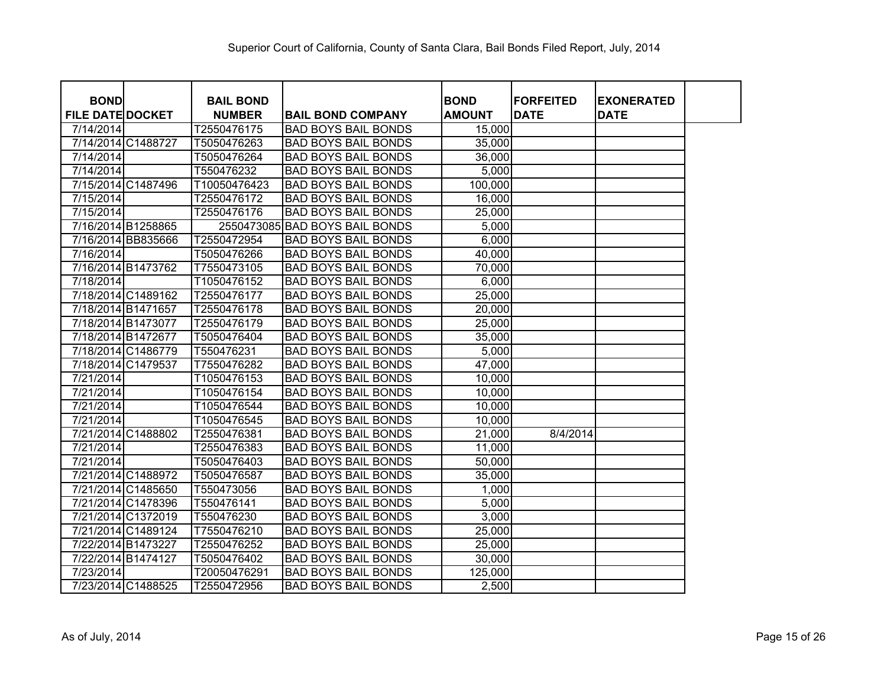| <b>BOND</b>             |                    | <b>BAIL BOND</b> |                                | <b>BOND</b>   | <b>FORFEITED</b> | <b>EXONERATED</b> |  |
|-------------------------|--------------------|------------------|--------------------------------|---------------|------------------|-------------------|--|
| <b>FILE DATE DOCKET</b> |                    | <b>NUMBER</b>    | <b>IBAIL BOND COMPANY</b>      | <b>AMOUNT</b> | <b>DATE</b>      | <b>DATE</b>       |  |
| 7/14/2014               |                    | T2550476175      | <b>BAD BOYS BAIL BONDS</b>     | 15,000        |                  |                   |  |
|                         | 7/14/2014 C1488727 | T5050476263      | <b>BAD BOYS BAIL BONDS</b>     | 35,000        |                  |                   |  |
| 7/14/2014               |                    | T5050476264      | <b>BAD BOYS BAIL BONDS</b>     | 36,000        |                  |                   |  |
| 7/14/2014               |                    | T550476232       | <b>BAD BOYS BAIL BONDS</b>     | 5,000         |                  |                   |  |
|                         | 7/15/2014 C1487496 | T10050476423     | <b>BAD BOYS BAIL BONDS</b>     | 100,000       |                  |                   |  |
| 7/15/2014               |                    | T2550476172      | <b>BAD BOYS BAIL BONDS</b>     | 16,000        |                  |                   |  |
| 7/15/2014               |                    | T2550476176      | <b>BAD BOYS BAIL BONDS</b>     | 25,000        |                  |                   |  |
|                         | 7/16/2014 B1258865 |                  | 2550473085 BAD BOYS BAIL BONDS | 5,000         |                  |                   |  |
|                         | 7/16/2014 BB835666 | T2550472954      | <b>BAD BOYS BAIL BONDS</b>     | 6,000         |                  |                   |  |
| 7/16/2014               |                    | T5050476266      | <b>BAD BOYS BAIL BONDS</b>     | 40,000        |                  |                   |  |
|                         | 7/16/2014 B1473762 | T7550473105      | <b>BAD BOYS BAIL BONDS</b>     | 70,000        |                  |                   |  |
| 7/18/2014               |                    | T1050476152      | <b>BAD BOYS BAIL BONDS</b>     | 6,000         |                  |                   |  |
|                         | 7/18/2014 C1489162 | T2550476177      | <b>BAD BOYS BAIL BONDS</b>     | 25,000        |                  |                   |  |
| 7/18/2014 B1471657      |                    | T2550476178      | <b>BAD BOYS BAIL BONDS</b>     | 20,000        |                  |                   |  |
| 7/18/2014 B1473077      |                    | T2550476179      | <b>BAD BOYS BAIL BONDS</b>     | 25,000        |                  |                   |  |
| 7/18/2014 B1472677      |                    | T5050476404      | <b>BAD BOYS BAIL BONDS</b>     | 35,000        |                  |                   |  |
|                         | 7/18/2014 C1486779 | T550476231       | <b>BAD BOYS BAIL BONDS</b>     | 5,000         |                  |                   |  |
|                         | 7/18/2014 C1479537 | T7550476282      | <b>BAD BOYS BAIL BONDS</b>     | 47,000        |                  |                   |  |
| 7/21/2014               |                    | T1050476153      | <b>BAD BOYS BAIL BONDS</b>     | 10,000        |                  |                   |  |
| 7/21/2014               |                    | T1050476154      | <b>BAD BOYS BAIL BONDS</b>     | 10,000        |                  |                   |  |
| 7/21/2014               |                    | T1050476544      | <b>BAD BOYS BAIL BONDS</b>     | 10,000        |                  |                   |  |
| 7/21/2014               |                    | T1050476545      | <b>BAD BOYS BAIL BONDS</b>     | 10,000        |                  |                   |  |
|                         | 7/21/2014 C1488802 | T2550476381      | <b>BAD BOYS BAIL BONDS</b>     | 21,000        | 8/4/2014         |                   |  |
| 7/21/2014               |                    | T2550476383      | <b>BAD BOYS BAIL BONDS</b>     | 11,000        |                  |                   |  |
| 7/21/2014               |                    | T5050476403      | <b>BAD BOYS BAIL BONDS</b>     | 50,000        |                  |                   |  |
|                         | 7/21/2014 C1488972 | T5050476587      | <b>BAD BOYS BAIL BONDS</b>     | 35,000        |                  |                   |  |
|                         | 7/21/2014 C1485650 | T550473056       | <b>BAD BOYS BAIL BONDS</b>     | 1,000         |                  |                   |  |
|                         | 7/21/2014 C1478396 | T550476141       | <b>BAD BOYS BAIL BONDS</b>     | 5,000         |                  |                   |  |
|                         | 7/21/2014 C1372019 | T550476230       | <b>BAD BOYS BAIL BONDS</b>     | 3,000         |                  |                   |  |
|                         | 7/21/2014 C1489124 | T7550476210      | <b>BAD BOYS BAIL BONDS</b>     | 25,000        |                  |                   |  |
|                         | 7/22/2014 B1473227 | T2550476252      | <b>BAD BOYS BAIL BONDS</b>     | 25,000        |                  |                   |  |
| 7/22/2014 B1474127      |                    | T5050476402      | <b>BAD BOYS BAIL BONDS</b>     | 30,000        |                  |                   |  |
| 7/23/2014               |                    | T20050476291     | <b>BAD BOYS BAIL BONDS</b>     | 125,000       |                  |                   |  |
|                         | 7/23/2014 C1488525 | T2550472956      | <b>BAD BOYS BAIL BONDS</b>     | 2,500         |                  |                   |  |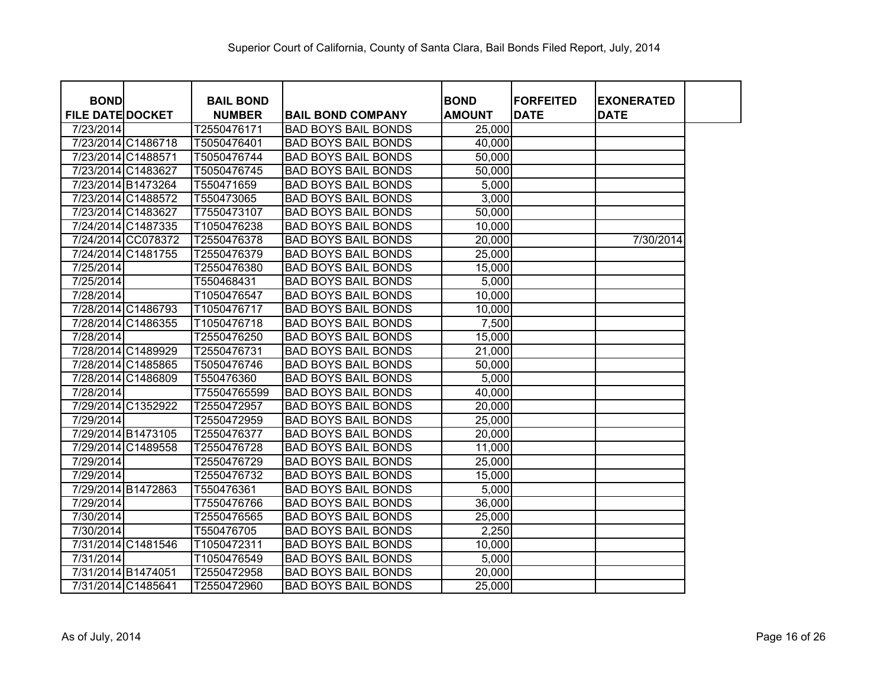| <b>BOND</b><br><b>FILE DATE DOCKET</b> |                    | <b>BAIL BOND</b> |                            | <b>BOND</b><br><b>AMOUNT</b> | <b>FORFEITED</b><br><b>DATE</b> | <b>EXONERATED</b> |  |
|----------------------------------------|--------------------|------------------|----------------------------|------------------------------|---------------------------------|-------------------|--|
|                                        |                    | <b>NUMBER</b>    | <b>BAIL BOND COMPANY</b>   |                              |                                 | <b>DATE</b>       |  |
| 7/23/2014                              |                    | T2550476171      | <b>BAD BOYS BAIL BONDS</b> | 25,000                       |                                 |                   |  |
|                                        | 7/23/2014 C1486718 | T5050476401      | <b>BAD BOYS BAIL BONDS</b> | 40,000                       |                                 |                   |  |
| 7/23/2014 C1488571                     |                    | T5050476744      | <b>BAD BOYS BAIL BONDS</b> | 50,000                       |                                 |                   |  |
| 7/23/2014 C1483627                     |                    | T5050476745      | <b>BAD BOYS BAIL BONDS</b> | 50,000                       |                                 |                   |  |
| 7/23/2014 B1473264                     |                    | T550471659       | <b>BAD BOYS BAIL BONDS</b> | 5,000                        |                                 |                   |  |
|                                        | 7/23/2014 C1488572 | T550473065       | <b>BAD BOYS BAIL BONDS</b> | 3,000                        |                                 |                   |  |
| 7/23/2014 C1483627                     |                    | T7550473107      | <b>BAD BOYS BAIL BONDS</b> | 50,000                       |                                 |                   |  |
|                                        | 7/24/2014 C1487335 | T1050476238      | <b>BAD BOYS BAIL BONDS</b> | 10,000                       |                                 |                   |  |
|                                        | 7/24/2014 CC078372 | T2550476378      | <b>BAD BOYS BAIL BONDS</b> | 20,000                       |                                 | 7/30/2014         |  |
|                                        | 7/24/2014 C1481755 | T2550476379      | <b>BAD BOYS BAIL BONDS</b> | 25,000                       |                                 |                   |  |
| 7/25/2014                              |                    | T2550476380      | <b>BAD BOYS BAIL BONDS</b> | 15,000                       |                                 |                   |  |
| 7/25/2014                              |                    | T550468431       | <b>BAD BOYS BAIL BONDS</b> | 5,000                        |                                 |                   |  |
| 7/28/2014                              |                    | T1050476547      | <b>BAD BOYS BAIL BONDS</b> | 10,000                       |                                 |                   |  |
|                                        | 7/28/2014 C1486793 | T1050476717      | <b>BAD BOYS BAIL BONDS</b> | 10,000                       |                                 |                   |  |
| 7/28/2014 C1486355                     |                    | T1050476718      | <b>BAD BOYS BAIL BONDS</b> | 7,500                        |                                 |                   |  |
| 7/28/2014                              |                    | T2550476250      | <b>BAD BOYS BAIL BONDS</b> | 15,000                       |                                 |                   |  |
|                                        | 7/28/2014 C1489929 | T2550476731      | <b>BAD BOYS BAIL BONDS</b> | 21,000                       |                                 |                   |  |
|                                        | 7/28/2014 C1485865 | T5050476746      | <b>BAD BOYS BAIL BONDS</b> | 50,000                       |                                 |                   |  |
| 7/28/2014 C1486809                     |                    | T550476360       | <b>BAD BOYS BAIL BONDS</b> | 5,000                        |                                 |                   |  |
| 7/28/2014                              |                    | T75504765599     | <b>BAD BOYS BAIL BONDS</b> | 40,000                       |                                 |                   |  |
| 7/29/2014 C1352922                     |                    | T2550472957      | <b>BAD BOYS BAIL BONDS</b> | 20,000                       |                                 |                   |  |
| 7/29/2014                              |                    | T2550472959      | <b>BAD BOYS BAIL BONDS</b> | 25,000                       |                                 |                   |  |
| 7/29/2014 B1473105                     |                    | T2550476377      | <b>BAD BOYS BAIL BONDS</b> | 20,000                       |                                 |                   |  |
| 7/29/2014 C1489558                     |                    | T2550476728      | <b>BAD BOYS BAIL BONDS</b> | 11,000                       |                                 |                   |  |
| 7/29/2014                              |                    | T2550476729      | <b>BAD BOYS BAIL BONDS</b> | 25,000                       |                                 |                   |  |
| 7/29/2014                              |                    | T2550476732      | <b>BAD BOYS BAIL BONDS</b> | 15,000                       |                                 |                   |  |
| 7/29/2014 B1472863                     |                    | T550476361       | <b>BAD BOYS BAIL BONDS</b> | 5,000                        |                                 |                   |  |
| 7/29/2014                              |                    | T7550476766      | <b>BAD BOYS BAIL BONDS</b> | 36,000                       |                                 |                   |  |
| 7/30/2014                              |                    | T2550476565      | <b>BAD BOYS BAIL BONDS</b> | 25,000                       |                                 |                   |  |
| 7/30/2014                              |                    | T550476705       | <b>BAD BOYS BAIL BONDS</b> | 2,250                        |                                 |                   |  |
| 7/31/2014 C1481546                     |                    | T1050472311      | <b>BAD BOYS BAIL BONDS</b> | 10,000                       |                                 |                   |  |
| 7/31/2014                              |                    | T1050476549      | <b>BAD BOYS BAIL BONDS</b> | 5,000                        |                                 |                   |  |
| 7/31/2014 B1474051                     |                    | T2550472958      | <b>BAD BOYS BAIL BONDS</b> | 20,000                       |                                 |                   |  |
| 7/31/2014 C1485641                     |                    | T2550472960      | <b>BAD BOYS BAIL BONDS</b> | 25,000                       |                                 |                   |  |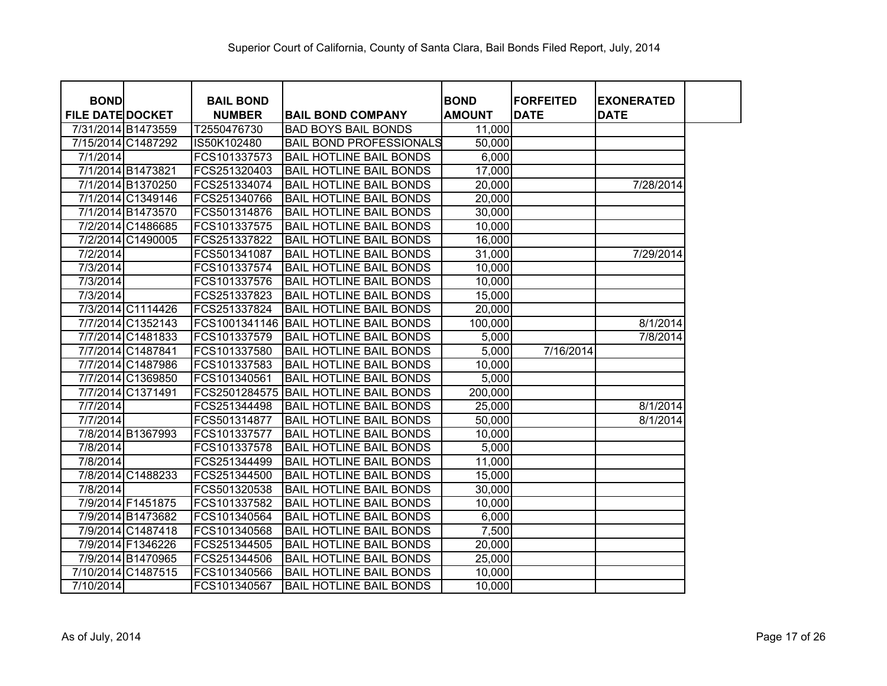| <b>BOND</b>             |                    | <b>BAIL BOND</b> |                                | <b>BOND</b>   | <b>FORFEITED</b> | <b>EXONERATED</b> |  |
|-------------------------|--------------------|------------------|--------------------------------|---------------|------------------|-------------------|--|
| <b>FILE DATE DOCKET</b> |                    | <b>NUMBER</b>    | <b>BAIL BOND COMPANY</b>       | <b>AMOUNT</b> | <b>DATE</b>      | <b>DATE</b>       |  |
|                         | 7/31/2014 B1473559 | T2550476730      | <b>BAD BOYS BAIL BONDS</b>     | 11,000        |                  |                   |  |
|                         | 7/15/2014 C1487292 | IS50K102480      | <b>BAIL BOND PROFESSIONALS</b> | 50,000        |                  |                   |  |
| 7/1/2014                |                    | FCS101337573     | <b>BAIL HOTLINE BAIL BONDS</b> | 6,000         |                  |                   |  |
|                         | 7/1/2014 B1473821  | FCS251320403     | <b>BAIL HOTLINE BAIL BONDS</b> | 17,000        |                  |                   |  |
|                         | 7/1/2014 B1370250  | FCS251334074     | <b>BAIL HOTLINE BAIL BONDS</b> | 20,000        |                  | 7/28/2014         |  |
|                         | 7/1/2014 C1349146  | FCS251340766     | <b>BAIL HOTLINE BAIL BONDS</b> | 20,000        |                  |                   |  |
|                         | 7/1/2014 B1473570  | FCS501314876     | <b>BAIL HOTLINE BAIL BONDS</b> | 30,000        |                  |                   |  |
|                         | 7/2/2014 C1486685  | FCS101337575     | <b>BAIL HOTLINE BAIL BONDS</b> | 10,000        |                  |                   |  |
|                         | 7/2/2014 C1490005  | FCS251337822     | <b>BAIL HOTLINE BAIL BONDS</b> | 16,000        |                  |                   |  |
| 7/2/2014                |                    | FCS501341087     | <b>BAIL HOTLINE BAIL BONDS</b> | 31,000        |                  | 7/29/2014         |  |
| 7/3/2014                |                    | FCS101337574     | <b>BAIL HOTLINE BAIL BONDS</b> | 10,000        |                  |                   |  |
| 7/3/2014                |                    | FCS101337576     | <b>BAIL HOTLINE BAIL BONDS</b> | 10,000        |                  |                   |  |
| 7/3/2014                |                    | FCS251337823     | <b>BAIL HOTLINE BAIL BONDS</b> | 15,000        |                  |                   |  |
|                         | 7/3/2014 C1114426  | FCS251337824     | <b>BAIL HOTLINE BAIL BONDS</b> | 20,000        |                  |                   |  |
|                         | 7/7/2014 C1352143  | FCS1001341146    | <b>BAIL HOTLINE BAIL BONDS</b> | 100,000       |                  | 8/1/2014          |  |
|                         | 7/7/2014 C1481833  | FCS101337579     | <b>BAIL HOTLINE BAIL BONDS</b> | 5,000         |                  | 7/8/2014          |  |
|                         | 7/7/2014 C1487841  | FCS101337580     | <b>BAIL HOTLINE BAIL BONDS</b> | 5,000         | 7/16/2014        |                   |  |
|                         | 7/7/2014 C1487986  | FCS101337583     | <b>BAIL HOTLINE BAIL BONDS</b> | 10,000        |                  |                   |  |
|                         | 7/7/2014 C1369850  | FCS101340561     | <b>BAIL HOTLINE BAIL BONDS</b> | 5,000         |                  |                   |  |
|                         | 7/7/2014 C1371491  | FCS2501284575    | <b>BAIL HOTLINE BAIL BONDS</b> | 200,000       |                  |                   |  |
| 7/7/2014                |                    | FCS251344498     | <b>BAIL HOTLINE BAIL BONDS</b> | 25,000        |                  | 8/1/2014          |  |
| 7/7/2014                |                    | FCS501314877     | <b>BAIL HOTLINE BAIL BONDS</b> | 50,000        |                  | 8/1/2014          |  |
|                         | 7/8/2014 B1367993  | FCS101337577     | <b>BAIL HOTLINE BAIL BONDS</b> | 10,000        |                  |                   |  |
| 7/8/2014                |                    | FCS101337578     | <b>BAIL HOTLINE BAIL BONDS</b> | 5,000         |                  |                   |  |
| 7/8/2014                |                    | FCS251344499     | <b>BAIL HOTLINE BAIL BONDS</b> | 11,000        |                  |                   |  |
|                         | 7/8/2014 C1488233  | FCS251344500     | <b>BAIL HOTLINE BAIL BONDS</b> | 15,000        |                  |                   |  |
| 7/8/2014                |                    | FCS501320538     | <b>BAIL HOTLINE BAIL BONDS</b> | 30,000        |                  |                   |  |
|                         | 7/9/2014 F1451875  | FCS101337582     | <b>BAIL HOTLINE BAIL BONDS</b> | 10,000        |                  |                   |  |
|                         | 7/9/2014 B1473682  | FCS101340564     | <b>BAIL HOTLINE BAIL BONDS</b> | 6,000         |                  |                   |  |
|                         | 7/9/2014 C1487418  | FCS101340568     | <b>BAIL HOTLINE BAIL BONDS</b> | 7,500         |                  |                   |  |
|                         | 7/9/2014 F1346226  | FCS251344505     | <b>BAIL HOTLINE BAIL BONDS</b> | 20,000        |                  |                   |  |
|                         | 7/9/2014 B1470965  | FCS251344506     | <b>BAIL HOTLINE BAIL BONDS</b> | 25,000        |                  |                   |  |
|                         | 7/10/2014 C1487515 | FCS101340566     | <b>BAIL HOTLINE BAIL BONDS</b> | 10,000        |                  |                   |  |
| 7/10/2014               |                    | FCS101340567     | <b>BAIL HOTLINE BAIL BONDS</b> | 10,000        |                  |                   |  |

1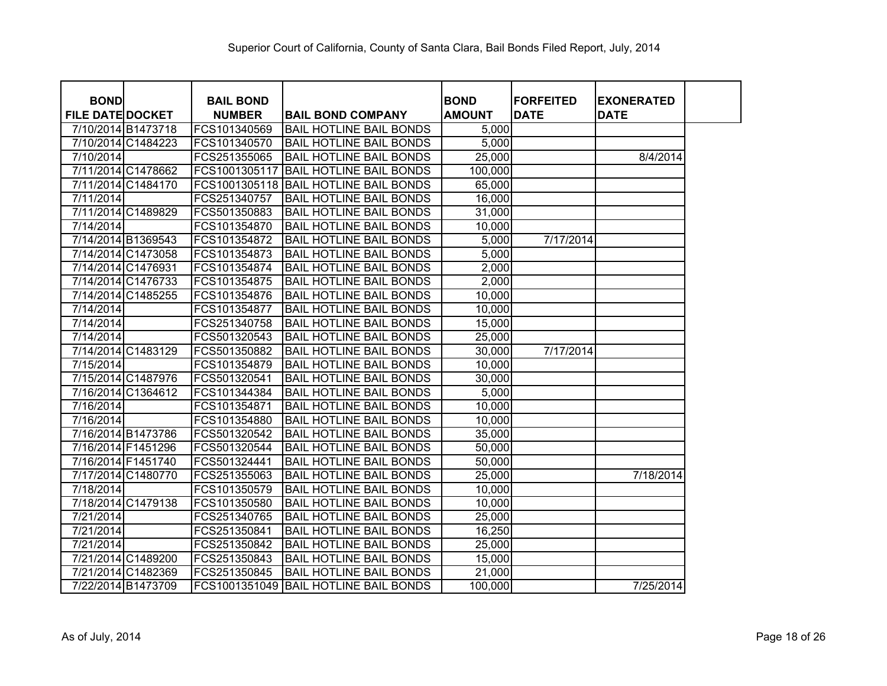| <b>BOND</b>             |                    | <b>BAIL BOND</b> |                                       | <b>BOND</b>   | <b>FORFEITED</b> | <b>EXONERATED</b> |  |
|-------------------------|--------------------|------------------|---------------------------------------|---------------|------------------|-------------------|--|
| <b>FILE DATE DOCKET</b> |                    | <b>NUMBER</b>    | <b>BAIL BOND COMPANY</b>              | <b>AMOUNT</b> | <b>DATE</b>      | <b>DATE</b>       |  |
|                         | 7/10/2014 B1473718 | FCS101340569     | <b>BAIL HOTLINE BAIL BONDS</b>        | 5,000         |                  |                   |  |
|                         | 7/10/2014 C1484223 | FCS101340570     | <b>BAIL HOTLINE BAIL BONDS</b>        | 5,000         |                  |                   |  |
| 7/10/2014               |                    | FCS251355065     | <b>BAIL HOTLINE BAIL BONDS</b>        | 25,000        |                  | 8/4/2014          |  |
|                         | 7/11/2014 C1478662 | FCS1001305117    | <b>BAIL HOTLINE BAIL BONDS</b>        | 100,000       |                  |                   |  |
|                         | 7/11/2014 C1484170 |                  | FCS1001305118 BAIL HOTLINE BAIL BONDS | 65,000        |                  |                   |  |
| 7/11/2014               |                    | FCS251340757     | <b>BAIL HOTLINE BAIL BONDS</b>        | 16,000        |                  |                   |  |
|                         | 7/11/2014 C1489829 | FCS501350883     | <b>BAIL HOTLINE BAIL BONDS</b>        | 31,000        |                  |                   |  |
| 7/14/2014               |                    | FCS101354870     | <b>BAIL HOTLINE BAIL BONDS</b>        | 10,000        |                  |                   |  |
|                         | 7/14/2014 B1369543 | FCS101354872     | <b>BAIL HOTLINE BAIL BONDS</b>        | 5,000         | 7/17/2014        |                   |  |
|                         | 7/14/2014 C1473058 | FCS101354873     | <b>BAIL HOTLINE BAIL BONDS</b>        | 5,000         |                  |                   |  |
|                         | 7/14/2014 C1476931 | FCS101354874     | <b>BAIL HOTLINE BAIL BONDS</b>        | 2,000         |                  |                   |  |
|                         | 7/14/2014 C1476733 | FCS101354875     | <b>BAIL HOTLINE BAIL BONDS</b>        | 2,000         |                  |                   |  |
|                         | 7/14/2014 C1485255 | FCS101354876     | <b>BAIL HOTLINE BAIL BONDS</b>        | 10,000        |                  |                   |  |
| 7/14/2014               |                    | FCS101354877     | <b>BAIL HOTLINE BAIL BONDS</b>        | 10,000        |                  |                   |  |
| 7/14/2014               |                    | FCS251340758     | <b>BAIL HOTLINE BAIL BONDS</b>        | 15,000        |                  |                   |  |
| 7/14/2014               |                    | FCS501320543     | <b>BAIL HOTLINE BAIL BONDS</b>        | 25,000        |                  |                   |  |
|                         | 7/14/2014 C1483129 | FCS501350882     | <b>BAIL HOTLINE BAIL BONDS</b>        | 30,000        | 7/17/2014        |                   |  |
| 7/15/2014               |                    | FCS101354879     | <b>BAIL HOTLINE BAIL BONDS</b>        | 10,000        |                  |                   |  |
|                         | 7/15/2014 C1487976 | FCS501320541     | <b>BAIL HOTLINE BAIL BONDS</b>        | 30,000        |                  |                   |  |
|                         | 7/16/2014 C1364612 | FCS101344384     | <b>BAIL HOTLINE BAIL BONDS</b>        | 5,000         |                  |                   |  |
| 7/16/2014               |                    | FCS101354871     | <b>BAIL HOTLINE BAIL BONDS</b>        | 10,000        |                  |                   |  |
| 7/16/2014               |                    | FCS101354880     | <b>BAIL HOTLINE BAIL BONDS</b>        | 10,000        |                  |                   |  |
|                         | 7/16/2014 B1473786 | FCS501320542     | <b>BAIL HOTLINE BAIL BONDS</b>        | 35,000        |                  |                   |  |
|                         | 7/16/2014 F1451296 | FCS501320544     | <b>BAIL HOTLINE BAIL BONDS</b>        | 50,000        |                  |                   |  |
|                         | 7/16/2014 F1451740 | FCS501324441     | <b>BAIL HOTLINE BAIL BONDS</b>        | 50,000        |                  |                   |  |
|                         | 7/17/2014 C1480770 | FCS251355063     | <b>BAIL HOTLINE BAIL BONDS</b>        | 25,000        |                  | 7/18/2014         |  |
| 7/18/2014               |                    | FCS101350579     | <b>BAIL HOTLINE BAIL BONDS</b>        | 10,000        |                  |                   |  |
|                         | 7/18/2014 C1479138 | FCS101350580     | <b>BAIL HOTLINE BAIL BONDS</b>        | 10,000        |                  |                   |  |
| 7/21/2014               |                    | FCS251340765     | <b>BAIL HOTLINE BAIL BONDS</b>        | 25,000        |                  |                   |  |
| 7/21/2014               |                    | FCS251350841     | <b>BAIL HOTLINE BAIL BONDS</b>        | 16,250        |                  |                   |  |
| 7/21/2014               |                    | FCS251350842     | <b>BAIL HOTLINE BAIL BONDS</b>        | 25,000        |                  |                   |  |
|                         | 7/21/2014 C1489200 | FCS251350843     | <b>BAIL HOTLINE BAIL BONDS</b>        | 15,000        |                  |                   |  |
|                         | 7/21/2014 C1482369 | FCS251350845     | <b>BAIL HOTLINE BAIL BONDS</b>        | 21,000        |                  |                   |  |
|                         | 7/22/2014 B1473709 |                  | FCS1001351049 BAIL HOTLINE BAIL BONDS | 100,000       |                  | 7/25/2014         |  |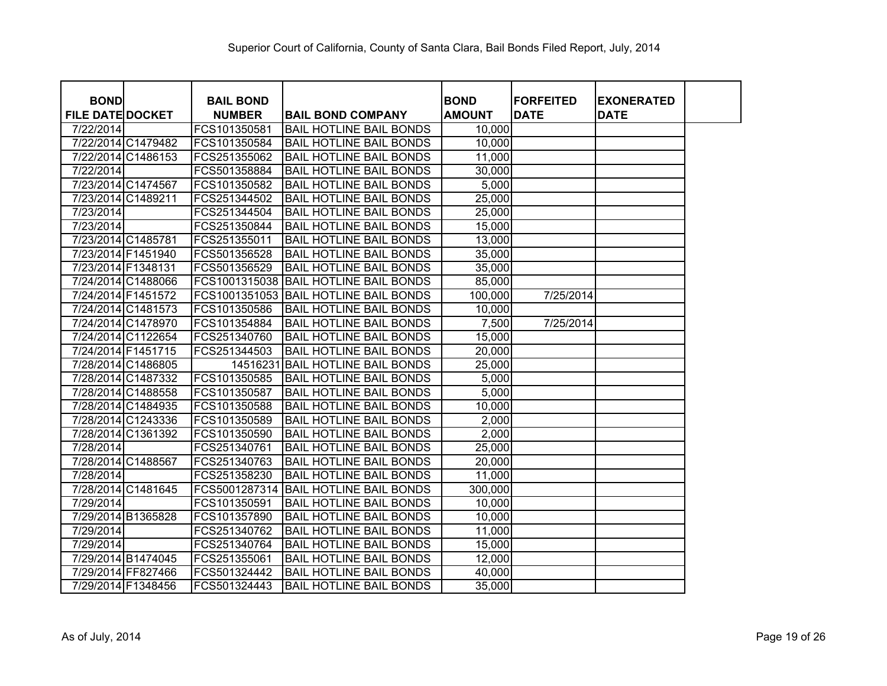| <b>BOND</b>             |                    | <b>BAIL BOND</b> |                                       | <b>BOND</b>   | <b>FORFEITED</b> | <b>EXONERATED</b> |
|-------------------------|--------------------|------------------|---------------------------------------|---------------|------------------|-------------------|
| <b>FILE DATE DOCKET</b> |                    | <b>NUMBER</b>    | <b>BAIL BOND COMPANY</b>              | <b>AMOUNT</b> | <b>DATE</b>      | <b>DATE</b>       |
| 7/22/2014               |                    | FCS101350581     | <b>BAIL HOTLINE BAIL BONDS</b>        | 10,000        |                  |                   |
|                         | 7/22/2014 C1479482 | FCS101350584     | <b>BAIL HOTLINE BAIL BONDS</b>        | 10,000        |                  |                   |
|                         | 7/22/2014 C1486153 | FCS251355062     | <b>BAIL HOTLINE BAIL BONDS</b>        | 11,000        |                  |                   |
| 7/22/2014               |                    | FCS501358884     | <b>BAIL HOTLINE BAIL BONDS</b>        | 30,000        |                  |                   |
|                         | 7/23/2014 C1474567 | FCS101350582     | <b>BAIL HOTLINE BAIL BONDS</b>        | 5,000         |                  |                   |
|                         | 7/23/2014 C1489211 | FCS251344502     | <b>BAIL HOTLINE BAIL BONDS</b>        | 25,000        |                  |                   |
| 7/23/2014               |                    | FCS251344504     | <b>BAIL HOTLINE BAIL BONDS</b>        | 25,000        |                  |                   |
| 7/23/2014               |                    | FCS251350844     | <b>BAIL HOTLINE BAIL BONDS</b>        | 15,000        |                  |                   |
| 7/23/2014 C1485781      |                    | FCS251355011     | <b>BAIL HOTLINE BAIL BONDS</b>        | 13,000        |                  |                   |
|                         | 7/23/2014 F1451940 | FCS501356528     | <b>BAIL HOTLINE BAIL BONDS</b>        | 35,000        |                  |                   |
| 7/23/2014 F1348131      |                    | FCS501356529     | <b>BAIL HOTLINE BAIL BONDS</b>        | 35,000        |                  |                   |
|                         | 7/24/2014 C1488066 |                  | FCS1001315038 BAIL HOTLINE BAIL BONDS | 85,000        |                  |                   |
| 7/24/2014 F1451572      |                    |                  | FCS1001351053 BAIL HOTLINE BAIL BONDS | 100,000       | 7/25/2014        |                   |
|                         | 7/24/2014 C1481573 | FCS101350586     | <b>BAIL HOTLINE BAIL BONDS</b>        | 10,000        |                  |                   |
|                         | 7/24/2014 C1478970 | FCS101354884     | <b>BAIL HOTLINE BAIL BONDS</b>        | 7,500         | 7/25/2014        |                   |
|                         | 7/24/2014 C1122654 | FCS251340760     | <b>BAIL HOTLINE BAIL BONDS</b>        | 15,000        |                  |                   |
|                         | 7/24/2014 F1451715 | FCS251344503     | <b>BAIL HOTLINE BAIL BONDS</b>        | 20,000        |                  |                   |
|                         | 7/28/2014 C1486805 |                  | 14516231 BAIL HOTLINE BAIL BONDS      | 25,000        |                  |                   |
|                         | 7/28/2014 C1487332 | FCS101350585     | <b>BAIL HOTLINE BAIL BONDS</b>        | 5,000         |                  |                   |
|                         | 7/28/2014 C1488558 | FCS101350587     | <b>BAIL HOTLINE BAIL BONDS</b>        | 5,000         |                  |                   |
|                         | 7/28/2014 C1484935 | FCS101350588     | <b>BAIL HOTLINE BAIL BONDS</b>        | 10,000        |                  |                   |
|                         | 7/28/2014 C1243336 | FCS101350589     | <b>BAIL HOTLINE BAIL BONDS</b>        | 2,000         |                  |                   |
|                         | 7/28/2014 C1361392 | FCS101350590     | <b>BAIL HOTLINE BAIL BONDS</b>        | 2,000         |                  |                   |
| 7/28/2014               |                    | FCS251340761     | <b>BAIL HOTLINE BAIL BONDS</b>        | 25,000        |                  |                   |
|                         | 7/28/2014 C1488567 | FCS251340763     | <b>BAIL HOTLINE BAIL BONDS</b>        | 20,000        |                  |                   |
| 7/28/2014               |                    | FCS251358230     | <b>BAIL HOTLINE BAIL BONDS</b>        | 11,000        |                  |                   |
|                         | 7/28/2014 C1481645 | FCS5001287314    | <b>BAIL HOTLINE BAIL BONDS</b>        | 300,000       |                  |                   |
| 7/29/2014               |                    | FCS101350591     | <b>BAIL HOTLINE BAIL BONDS</b>        | 10,000        |                  |                   |
|                         | 7/29/2014 B1365828 | FCS101357890     | <b>BAIL HOTLINE BAIL BONDS</b>        | 10,000        |                  |                   |
| 7/29/2014               |                    | FCS251340762     | <b>BAIL HOTLINE BAIL BONDS</b>        | 11,000        |                  |                   |
| 7/29/2014               |                    | FCS251340764     | <b>BAIL HOTLINE BAIL BONDS</b>        | 15,000        |                  |                   |
|                         | 7/29/2014 B1474045 | FCS251355061     | <b>BAIL HOTLINE BAIL BONDS</b>        | 12,000        |                  |                   |
|                         | 7/29/2014 FF827466 | FCS501324442     | <b>BAIL HOTLINE BAIL BONDS</b>        | 40,000        |                  |                   |
|                         | 7/29/2014 F1348456 | FCS501324443     | <b>BAIL HOTLINE BAIL BONDS</b>        | 35,000        |                  |                   |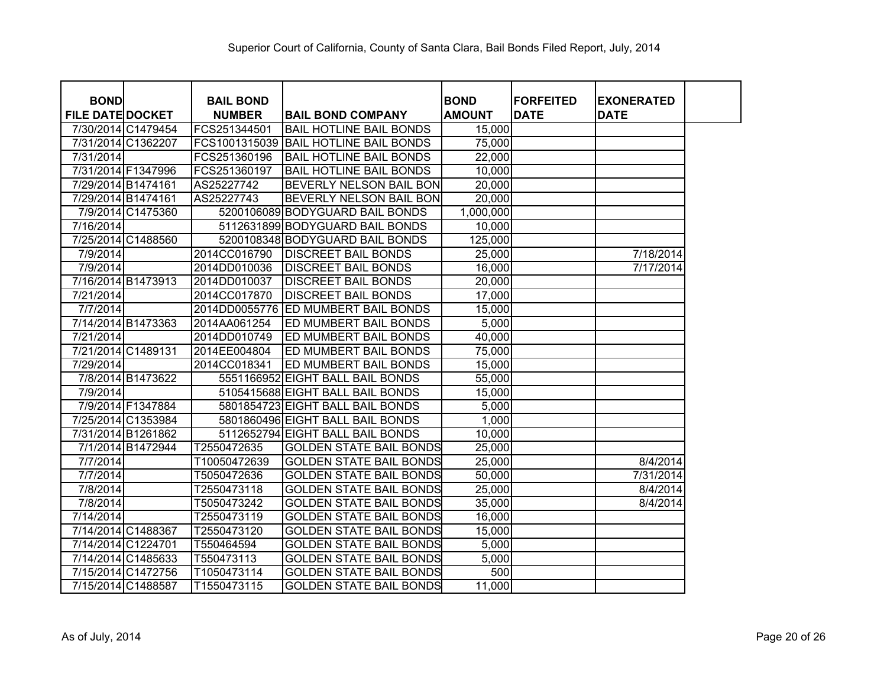| <b>BOND</b>             |                    | <b>BAIL BOND</b> |                                       | <b>BOND</b>   | <b>FORFEITED</b> | <b>EXONERATED</b> |  |
|-------------------------|--------------------|------------------|---------------------------------------|---------------|------------------|-------------------|--|
| <b>FILE DATE DOCKET</b> |                    | <b>NUMBER</b>    | <b>BAIL BOND COMPANY</b>              | <b>AMOUNT</b> | <b>DATE</b>      | <b>DATE</b>       |  |
|                         | 7/30/2014 C1479454 | FCS251344501     | <b>BAIL HOTLINE BAIL BONDS</b>        | 15,000        |                  |                   |  |
|                         | 7/31/2014 C1362207 |                  | FCS1001315039 BAIL HOTLINE BAIL BONDS | 75,000        |                  |                   |  |
| 7/31/2014               |                    | FCS251360196     | <b>BAIL HOTLINE BAIL BONDS</b>        | 22,000        |                  |                   |  |
|                         | 7/31/2014 F1347996 | FCS251360197     | <b>BAIL HOTLINE BAIL BONDS</b>        | 10,000        |                  |                   |  |
| 7/29/2014 B1474161      |                    | AS25227742       | <b>BEVERLY NELSON BAIL BON</b>        | 20,000        |                  |                   |  |
|                         | 7/29/2014 B1474161 | AS25227743       | BEVERLY NELSON BAIL BON               | 20,000        |                  |                   |  |
|                         | 7/9/2014 C1475360  |                  | 5200106089 BODYGUARD BAIL BONDS       | 1,000,000     |                  |                   |  |
| 7/16/2014               |                    |                  | 5112631899 BODYGUARD BAIL BONDS       | 10,000        |                  |                   |  |
|                         | 7/25/2014 C1488560 |                  | 5200108348 BODYGUARD BAIL BONDS       | 125,000       |                  |                   |  |
| 7/9/2014                |                    | 2014CC016790     | <b>DISCREET BAIL BONDS</b>            | 25,000        |                  | 7/18/2014         |  |
| 7/9/2014                |                    | 2014DD010036     | <b>DISCREET BAIL BONDS</b>            | 16,000        |                  | 7/17/2014         |  |
|                         | 7/16/2014 B1473913 | 2014DD010037     | <b>DISCREET BAIL BONDS</b>            | 20,000        |                  |                   |  |
| 7/21/2014               |                    | 2014CC017870     | <b>DISCREET BAIL BONDS</b>            | 17,000        |                  |                   |  |
| 7/7/2014                |                    |                  | 2014DD0055776 ED MUMBERT BAIL BONDS   | 15,000        |                  |                   |  |
|                         | 7/14/2014 B1473363 | 2014AA061254     | <b>ED MUMBERT BAIL BONDS</b>          | 5,000         |                  |                   |  |
| 7/21/2014               |                    | 2014DD010749     | <b>ED MUMBERT BAIL BONDS</b>          | 40,000        |                  |                   |  |
|                         | 7/21/2014 C1489131 | 2014EE004804     | <b>ED MUMBERT BAIL BONDS</b>          | 75,000        |                  |                   |  |
| 7/29/2014               |                    | 2014CC018341     | <b>ED MUMBERT BAIL BONDS</b>          | 15,000        |                  |                   |  |
|                         | 7/8/2014 B1473622  |                  | 5551166952 EIGHT BALL BAIL BONDS      | 55,000        |                  |                   |  |
| 7/9/2014                |                    |                  | 5105415688 EIGHT BALL BAIL BONDS      | 15,000        |                  |                   |  |
|                         | 7/9/2014 F1347884  |                  | 5801854723 EIGHT BALL BAIL BONDS      | 5,000         |                  |                   |  |
|                         | 7/25/2014 C1353984 |                  | 5801860496 EIGHT BALL BAIL BONDS      | 1,000         |                  |                   |  |
|                         | 7/31/2014 B1261862 |                  | 5112652794 EIGHT BALL BAIL BONDS      | 10,000        |                  |                   |  |
|                         | 7/1/2014 B1472944  | T2550472635      | <b>GOLDEN STATE BAIL BONDS</b>        | 25,000        |                  |                   |  |
| 7/7/2014                |                    | T10050472639     | <b>GOLDEN STATE BAIL BONDS</b>        | 25,000        |                  | 8/4/2014          |  |
| 7/7/2014                |                    | T5050472636      | <b>GOLDEN STATE BAIL BONDS</b>        | 50,000        |                  | 7/31/2014         |  |
| 7/8/2014                |                    | T2550473118      | <b>GOLDEN STATE BAIL BONDS</b>        | 25,000        |                  | 8/4/2014          |  |
| 7/8/2014                |                    | T5050473242      | <b>GOLDEN STATE BAIL BONDS</b>        | 35,000        |                  | 8/4/2014          |  |
| 7/14/2014               |                    | T2550473119      | <b>GOLDEN STATE BAIL BONDS</b>        | 16,000        |                  |                   |  |
|                         | 7/14/2014 C1488367 | T2550473120      | <b>GOLDEN STATE BAIL BONDS</b>        | 15,000        |                  |                   |  |
|                         | 7/14/2014 C1224701 | T550464594       | <b>GOLDEN STATE BAIL BONDS</b>        | 5,000         |                  |                   |  |
|                         | 7/14/2014 C1485633 | T550473113       | <b>GOLDEN STATE BAIL BONDS</b>        | 5,000         |                  |                   |  |
|                         | 7/15/2014 C1472756 | T1050473114      | <b>GOLDEN STATE BAIL BONDS</b>        | 500           |                  |                   |  |
|                         | 7/15/2014 C1488587 | T1550473115      | <b>GOLDEN STATE BAIL BONDS</b>        | 11,000        |                  |                   |  |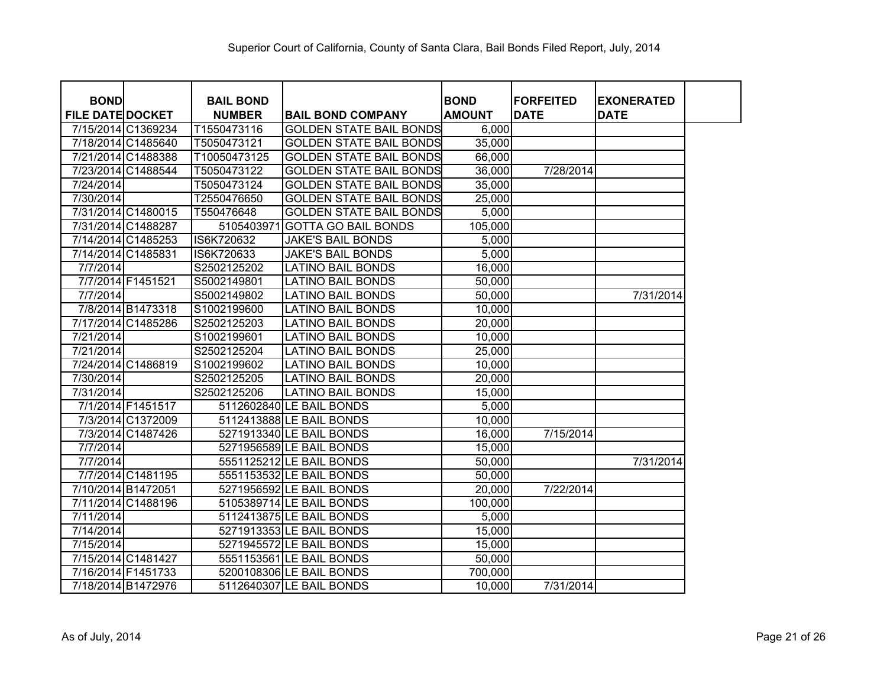| <b>BOND</b>             |                    | <b>BAIL BOND</b> |                                | <b>BOND</b>   | <b>FORFEITED</b> | <b>EXONERATED</b> |
|-------------------------|--------------------|------------------|--------------------------------|---------------|------------------|-------------------|
| <b>FILE DATE DOCKET</b> |                    | <b>NUMBER</b>    | <b>BAIL BOND COMPANY</b>       | <b>AMOUNT</b> | <b>DATE</b>      | <b>DATE</b>       |
|                         | 7/15/2014 C1369234 | T1550473116      | <b>GOLDEN STATE BAIL BONDS</b> | 6,000         |                  |                   |
|                         | 7/18/2014 C1485640 | T5050473121      | <b>GOLDEN STATE BAIL BONDS</b> | 35,000        |                  |                   |
|                         | 7/21/2014 C1488388 | T10050473125     | <b>GOLDEN STATE BAIL BONDS</b> | 66,000        |                  |                   |
|                         | 7/23/2014 C1488544 | T5050473122      | <b>GOLDEN STATE BAIL BONDS</b> | 36,000        | 7/28/2014        |                   |
| 7/24/2014               |                    | T5050473124      | <b>GOLDEN STATE BAIL BONDS</b> | 35,000        |                  |                   |
| 7/30/2014               |                    | T2550476650      | <b>GOLDEN STATE BAIL BONDS</b> | 25,000        |                  |                   |
|                         | 7/31/2014 C1480015 | T550476648       | <b>GOLDEN STATE BAIL BONDS</b> | 5,000         |                  |                   |
|                         | 7/31/2014 C1488287 | 5105403971       | <b>GOTTA GO BAIL BONDS</b>     | 105,000       |                  |                   |
|                         | 7/14/2014 C1485253 | IS6K720632       | <b>JAKE'S BAIL BONDS</b>       | 5,000         |                  |                   |
|                         | 7/14/2014 C1485831 | IS6K720633       | <b>JAKE'S BAIL BONDS</b>       | 5,000         |                  |                   |
| 7/7/2014                |                    | S2502125202      | <b>LATINO BAIL BONDS</b>       | 16,000        |                  |                   |
|                         | 7/7/2014 F1451521  | S5002149801      | LATINO BAIL BONDS              | 50,000        |                  |                   |
| 7/7/2014                |                    | S5002149802      | LATINO BAIL BONDS              | 50,000        |                  | 7/31/2014         |
|                         | 7/8/2014 B1473318  | S1002199600      | <b>LATINO BAIL BONDS</b>       | 10,000        |                  |                   |
|                         | 7/17/2014 C1485286 | S2502125203      | <b>LATINO BAIL BONDS</b>       | 20,000        |                  |                   |
| 7/21/2014               |                    | S1002199601      | <b>LATINO BAIL BONDS</b>       | 10,000        |                  |                   |
| 7/21/2014               |                    | S2502125204      | <b>LATINO BAIL BONDS</b>       | 25,000        |                  |                   |
|                         | 7/24/2014 C1486819 | S1002199602      | <b>LATINO BAIL BONDS</b>       | 10,000        |                  |                   |
| 7/30/2014               |                    | S2502125205      | <b>LATINO BAIL BONDS</b>       | 20,000        |                  |                   |
| 7/31/2014               |                    | S2502125206      | <b>LATINO BAIL BONDS</b>       | 15,000        |                  |                   |
|                         | 7/1/2014 F1451517  |                  | 5112602840 LE BAIL BONDS       | 5,000         |                  |                   |
|                         | 7/3/2014 C1372009  |                  | 5112413888 LE BAIL BONDS       | 10,000        |                  |                   |
|                         | 7/3/2014 C1487426  |                  | 5271913340 LE BAIL BONDS       | 16,000        | 7/15/2014        |                   |
| 7/7/2014                |                    |                  | 5271956589 LE BAIL BONDS       | 15,000        |                  |                   |
| 7/7/2014                |                    |                  | 5551125212 LE BAIL BONDS       | 50,000        |                  | 7/31/2014         |
|                         | 7/7/2014 C1481195  |                  | 5551153532 LE BAIL BONDS       | 50,000        |                  |                   |
|                         | 7/10/2014 B1472051 |                  | 5271956592 LE BAIL BONDS       | 20,000        | 7/22/2014        |                   |
|                         | 7/11/2014 C1488196 |                  | 5105389714 LE BAIL BONDS       | 100,000       |                  |                   |
| 7/11/2014               |                    |                  | 5112413875 LE BAIL BONDS       | 5,000         |                  |                   |
| 7/14/2014               |                    |                  | 5271913353 LE BAIL BONDS       | 15,000        |                  |                   |
| 7/15/2014               |                    |                  | 5271945572 LE BAIL BONDS       | 15,000        |                  |                   |
|                         | 7/15/2014 C1481427 |                  | 5551153561 LE BAIL BONDS       | 50,000        |                  |                   |
|                         | 7/16/2014 F1451733 |                  | 5200108306 LE BAIL BONDS       | 700,000       |                  |                   |
|                         | 7/18/2014 B1472976 |                  | 5112640307 LE BAIL BONDS       | 10,000        | 7/31/2014        |                   |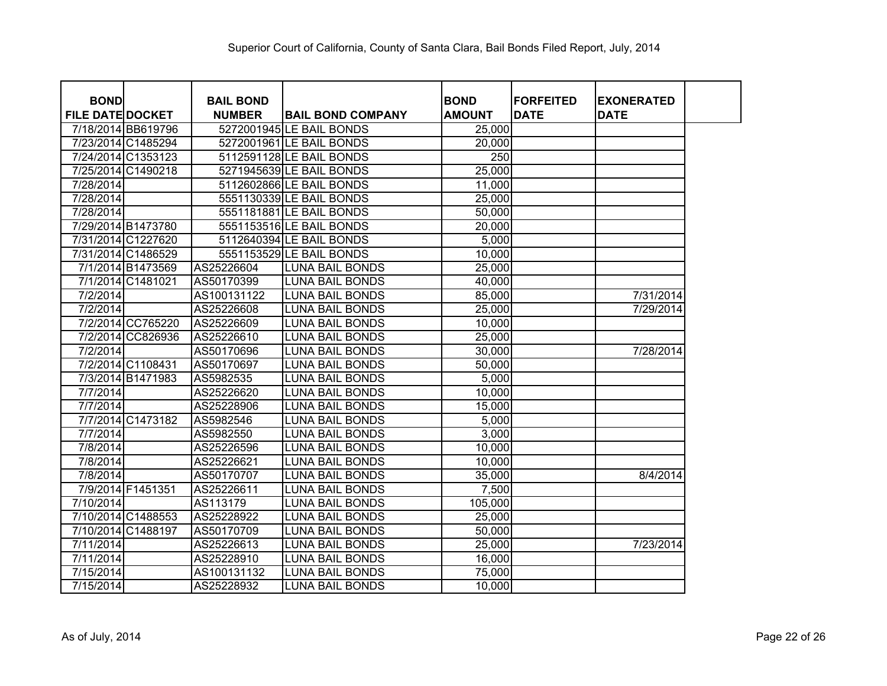| <b>BOND</b>             |                    | <b>BAIL BOND</b> |                          | <b>BOND</b>      | <b>FORFEITED</b> | <b>EXONERATED</b> |
|-------------------------|--------------------|------------------|--------------------------|------------------|------------------|-------------------|
| <b>FILE DATE DOCKET</b> |                    | <b>NUMBER</b>    | <b>BAIL BOND COMPANY</b> | <b>AMOUNT</b>    | <b>DATE</b>      | <b>DATE</b>       |
|                         | 7/18/2014 BB619796 |                  | 5272001945 LE BAIL BONDS | 25,000           |                  |                   |
|                         | 7/23/2014 C1485294 |                  | 5272001961 LE BAIL BONDS | 20,000           |                  |                   |
|                         | 7/24/2014 C1353123 |                  | 5112591128 LE BAIL BONDS | $\overline{250}$ |                  |                   |
|                         | 7/25/2014 C1490218 |                  | 5271945639 LE BAIL BONDS | 25,000           |                  |                   |
| 7/28/2014               |                    |                  | 5112602866 LE BAIL BONDS | 11,000           |                  |                   |
| 7/28/2014               |                    |                  | 5551130339 LE BAIL BONDS | 25,000           |                  |                   |
| 7/28/2014               |                    |                  | 5551181881 LE BAIL BONDS | 50,000           |                  |                   |
|                         | 7/29/2014 B1473780 |                  | 5551153516 LE BAIL BONDS | 20,000           |                  |                   |
|                         | 7/31/2014 C1227620 |                  | 5112640394 LE BAIL BONDS | 5,000            |                  |                   |
|                         | 7/31/2014 C1486529 |                  | 5551153529 LE BAIL BONDS | 10,000           |                  |                   |
|                         | 7/1/2014 B1473569  | AS25226604       | <b>LUNA BAIL BONDS</b>   | 25,000           |                  |                   |
|                         | 7/1/2014 C1481021  | AS50170399       | <b>LUNA BAIL BONDS</b>   | 40,000           |                  |                   |
| 7/2/2014                |                    | AS100131122      | <b>LUNA BAIL BONDS</b>   | 85,000           |                  | 7/31/2014         |
| 7/2/2014                |                    | AS25226608       | <b>LUNA BAIL BONDS</b>   | 25,000           |                  | 7/29/2014         |
|                         | 7/2/2014 CC765220  | AS25226609       | <b>LUNA BAIL BONDS</b>   | 10,000           |                  |                   |
|                         | 7/2/2014 CC826936  | AS25226610       | LUNA BAIL BONDS          | 25,000           |                  |                   |
| 7/2/2014                |                    | AS50170696       | LUNA BAIL BONDS          | 30,000           |                  | 7/28/2014         |
|                         | 7/2/2014 C1108431  | AS50170697       | <b>LUNA BAIL BONDS</b>   | 50,000           |                  |                   |
|                         | 7/3/2014 B1471983  | AS5982535        | <b>LUNA BAIL BONDS</b>   | 5,000            |                  |                   |
| 7/7/2014                |                    | AS25226620       | <b>LUNA BAIL BONDS</b>   | 10,000           |                  |                   |
| 7/7/2014                |                    | AS25228906       | <b>LUNA BAIL BONDS</b>   | 15,000           |                  |                   |
|                         | 7/7/2014 C1473182  | AS5982546        | <b>LUNA BAIL BONDS</b>   | 5,000            |                  |                   |
| 7/7/2014                |                    | AS5982550        | <b>LUNA BAIL BONDS</b>   | 3,000            |                  |                   |
| 7/8/2014                |                    | AS25226596       | <b>LUNA BAIL BONDS</b>   | 10,000           |                  |                   |
| 7/8/2014                |                    | AS25226621       | <b>LUNA BAIL BONDS</b>   | 10,000           |                  |                   |
| 7/8/2014                |                    | AS50170707       | <b>LUNA BAIL BONDS</b>   | 35,000           |                  | 8/4/2014          |
|                         | 7/9/2014 F1451351  | AS25226611       | LUNA BAIL BONDS          | 7,500            |                  |                   |
| 7/10/2014               |                    | AS113179         | LUNA BAIL BONDS          | 105,000          |                  |                   |
|                         | 7/10/2014 C1488553 | AS25228922       | <b>LUNA BAIL BONDS</b>   | 25,000           |                  |                   |
|                         | 7/10/2014 C1488197 | AS50170709       | <b>LUNA BAIL BONDS</b>   | 50,000           |                  |                   |
| 7/11/2014               |                    | AS25226613       | <b>LUNA BAIL BONDS</b>   | 25,000           |                  | 7/23/2014         |
| 7/11/2014               |                    | AS25228910       | <b>LUNA BAIL BONDS</b>   | 16,000           |                  |                   |
| 7/15/2014               |                    | AS100131132      | <b>LUNA BAIL BONDS</b>   | 75,000           |                  |                   |
| 7/15/2014               |                    | AS25228932       | <b>LUNA BAIL BONDS</b>   | 10,000           |                  |                   |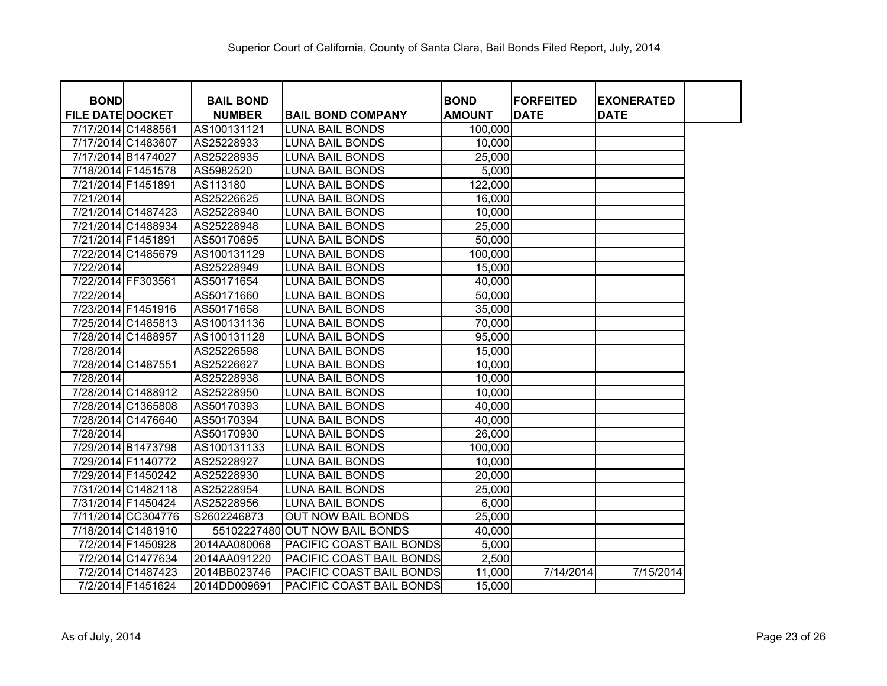| <b>BOND</b>             |                    | <b>BAIL BOND</b> |                                | <b>BOND</b>   | <b>FORFEITED</b> | <b>EXONERATED</b> |
|-------------------------|--------------------|------------------|--------------------------------|---------------|------------------|-------------------|
| <b>FILE DATE DOCKET</b> |                    | <b>NUMBER</b>    | <b>BAIL BOND COMPANY</b>       | <b>AMOUNT</b> | <b>DATE</b>      | <b>DATE</b>       |
| 7/17/2014 C1488561      | 7/17/2014 C1483607 | AS100131121      | <b>LUNA BAIL BONDS</b>         | 100,000       |                  |                   |
|                         |                    | AS25228933       | <b>LUNA BAIL BONDS</b>         | 10,000        |                  |                   |
|                         | 7/17/2014 B1474027 | AS25228935       | <b>LUNA BAIL BONDS</b>         | 25,000        |                  |                   |
|                         | 7/18/2014 F1451578 | AS5982520        | <b>LUNA BAIL BONDS</b>         | 5,000         |                  |                   |
| 7/21/2014 F1451891      |                    | AS113180         | <b>LUNA BAIL BONDS</b>         | 122,000       |                  |                   |
| 7/21/2014               |                    | AS25226625       | <b>LUNA BAIL BONDS</b>         | 16,000        |                  |                   |
|                         | 7/21/2014 C1487423 | AS25228940       | <b>LUNA BAIL BONDS</b>         | 10,000        |                  |                   |
|                         | 7/21/2014 C1488934 | AS25228948       | <b>LUNA BAIL BONDS</b>         | 25,000        |                  |                   |
| 7/21/2014 F1451891      |                    | AS50170695       | <b>LUNA BAIL BONDS</b>         | 50,000        |                  |                   |
|                         | 7/22/2014 C1485679 | AS100131129      | <b>LUNA BAIL BONDS</b>         | 100,000       |                  |                   |
| 7/22/2014               |                    | AS25228949       | <b>LUNA BAIL BONDS</b>         | 15,000        |                  |                   |
| 7/22/2014 FF303561      |                    | AS50171654       | <b>LUNA BAIL BONDS</b>         | 40,000        |                  |                   |
| 7/22/2014               |                    | AS50171660       | <b>LUNA BAIL BONDS</b>         | 50,000        |                  |                   |
|                         | 7/23/2014 F1451916 | AS50171658       | <b>LUNA BAIL BONDS</b>         | 35,000        |                  |                   |
|                         | 7/25/2014 C1485813 | AS100131136      | <b>LUNA BAIL BONDS</b>         | 70,000        |                  |                   |
|                         | 7/28/2014 C1488957 | AS100131128      | LUNA BAIL BONDS                | 95,000        |                  |                   |
| 7/28/2014               |                    | AS25226598       | LUNA BAIL BONDS                | 15,000        |                  |                   |
|                         | 7/28/2014 C1487551 | AS25226627       | LUNA BAIL BONDS                | 10,000        |                  |                   |
| 7/28/2014               |                    | AS25228938       | LUNA BAIL BONDS                | 10,000        |                  |                   |
|                         | 7/28/2014 C1488912 | AS25228950       | LUNA BAIL BONDS                | 10,000        |                  |                   |
|                         | 7/28/2014 C1365808 | AS50170393       | LUNA BAIL BONDS                | 40,000        |                  |                   |
|                         | 7/28/2014 C1476640 | AS50170394       | LUNA BAIL BONDS                | 40,000        |                  |                   |
| 7/28/2014               |                    | AS50170930       | LUNA BAIL BONDS                | 26,000        |                  |                   |
|                         | 7/29/2014 B1473798 | AS100131133      | LUNA BAIL BONDS                | 100,000       |                  |                   |
|                         | 7/29/2014 F1140772 | AS25228927       | LUNA BAIL BONDS                | 10,000        |                  |                   |
|                         | 7/29/2014 F1450242 | AS25228930       | LUNA BAIL BONDS                | 20,000        |                  |                   |
|                         | 7/31/2014 C1482118 | AS25228954       | LUNA BAIL BONDS                | 25,000        |                  |                   |
|                         | 7/31/2014 F1450424 | AS25228956       | LUNA BAIL BONDS                | 6,000         |                  |                   |
|                         | 7/11/2014 CC304776 | S2602246873      | <b>OUT NOW BAIL BONDS</b>      | 25,000        |                  |                   |
|                         | 7/18/2014 C1481910 |                  | 55102227480 OUT NOW BAIL BONDS | 40,000        |                  |                   |
|                         | 7/2/2014 F1450928  | 2014AA080068     | PACIFIC COAST BAIL BONDS       | 5,000         |                  |                   |
|                         | 7/2/2014 C1477634  | 2014AA091220     | PACIFIC COAST BAIL BONDS       | 2,500         |                  |                   |
|                         | 7/2/2014 C1487423  | 2014BB023746     | PACIFIC COAST BAIL BONDS       | 11,000        | 7/14/2014        | 7/15/2014         |
|                         | 7/2/2014 F1451624  | 2014DD009691     | PACIFIC COAST BAIL BONDS       | 15,000        |                  |                   |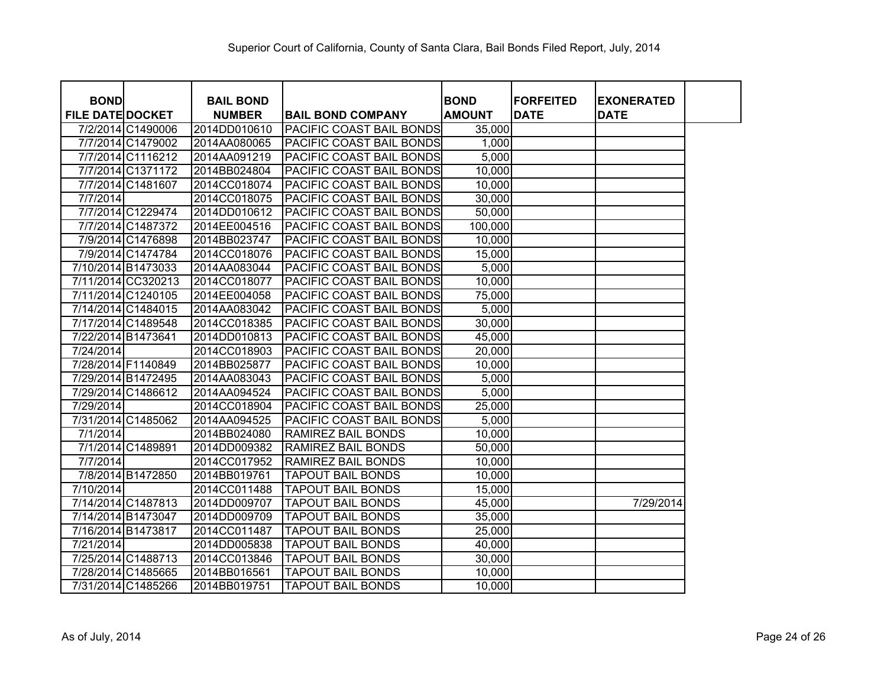| <b>BOND</b>             |                                          | <b>BAIL BOND</b>             |                                                                    | <b>BOND</b>       | <b>FORFEITED</b> | <b>EXONERATED</b> |  |
|-------------------------|------------------------------------------|------------------------------|--------------------------------------------------------------------|-------------------|------------------|-------------------|--|
| <b>FILE DATE DOCKET</b> |                                          | <b>NUMBER</b>                | <b>BAIL BOND COMPANY</b>                                           | <b>AMOUNT</b>     | <b>DATE</b>      | <b>DATE</b>       |  |
|                         | 7/2/2014 C1490006<br>7/7/2014 C1479002   | 2014DD010610                 | <b>PACIFIC COAST BAIL BONDS</b>                                    | 35,000            |                  |                   |  |
|                         |                                          | 2014AA080065                 | <b>PACIFIC COAST BAIL BONDS</b>                                    | 1,000             |                  |                   |  |
|                         | 7/7/2014 C1116212<br>7/7/2014 C1371172   | 2014AA091219                 | <b>PACIFIC COAST BAIL BONDS</b><br><b>PACIFIC COAST BAIL BONDS</b> | 5,000             |                  |                   |  |
|                         |                                          | 2014BB024804                 |                                                                    | 10,000            |                  |                   |  |
|                         | 7/7/2014 C1481607                        | 2014CC018074                 | <b>PACIFIC COAST BAIL BONDS</b><br><b>PACIFIC COAST BAIL BONDS</b> | 10,000            |                  |                   |  |
| 7/7/2014                | 7/7/2014 C1229474                        | 2014CC018075<br>2014DD010612 | <b>PACIFIC COAST BAIL BONDS</b>                                    | 30,000            |                  |                   |  |
|                         | 7/7/2014 C1487372                        | 2014EE004516                 | <b>PACIFIC COAST BAIL BONDS</b>                                    | 50,000<br>100,000 |                  |                   |  |
|                         | 7/9/2014 C1476898                        |                              | PACIFIC COAST BAIL BONDS                                           |                   |                  |                   |  |
|                         | 7/9/2014 C1474784                        | 2014BB023747                 |                                                                    | 10,000            |                  |                   |  |
|                         |                                          | 2014CC018076                 | <b>PACIFIC COAST BAIL BONDS</b><br><b>PACIFIC COAST BAIL BONDS</b> | 15,000            |                  |                   |  |
|                         | 7/10/2014 B1473033                       | 2014AA083044                 | <b>PACIFIC COAST BAIL BONDS</b>                                    | 5,000             |                  |                   |  |
|                         | 7/11/2014 CC320213<br>7/11/2014 C1240105 | 2014CC018077                 | <b>PACIFIC COAST BAIL BONDS</b>                                    | 10,000            |                  |                   |  |
|                         |                                          | 2014EE004058                 |                                                                    | 75,000            |                  |                   |  |
|                         | 7/14/2014 C1484015                       | 2014AA083042                 | <b>PACIFIC COAST BAIL BONDS</b>                                    | 5,000             |                  |                   |  |
| 7/22/2014 B1473641      | 7/17/2014 C1489548                       | 2014CC018385                 | <b>PACIFIC COAST BAIL BONDS</b>                                    | 30,000            |                  |                   |  |
|                         |                                          | 2014DD010813                 | <b>PACIFIC COAST BAIL BONDS</b>                                    | 45,000            |                  |                   |  |
| 7/24/2014               | 7/28/2014 F1140849                       | 2014CC018903                 | <b>PACIFIC COAST BAIL BONDS</b>                                    | 20,000            |                  |                   |  |
|                         |                                          | 2014BB025877                 | PACIFIC COAST BAIL BONDS                                           | 10,000            |                  |                   |  |
|                         | 7/29/2014 B1472495                       | 2014AA083043                 | <b>PACIFIC COAST BAIL BONDS</b>                                    | 5,000             |                  |                   |  |
|                         | 7/29/2014 C1486612                       | 2014AA094524                 | PACIFIC COAST BAIL BONDS                                           | 5,000             |                  |                   |  |
| 7/29/2014               |                                          | 2014CC018904                 | <b>PACIFIC COAST BAIL BONDS</b>                                    | 25,000            |                  |                   |  |
|                         | 7/31/2014 C1485062                       | 2014AA094525                 | PACIFIC COAST BAIL BONDS                                           | 5,000             |                  |                   |  |
| 7/1/2014                |                                          | 2014BB024080                 | <b>RAMIREZ BAIL BONDS</b>                                          | 10,000            |                  |                   |  |
|                         | 7/1/2014 C1489891                        | 2014DD009382                 | <b>RAMIREZ BAIL BONDS</b>                                          | 50,000            |                  |                   |  |
| 7/7/2014                |                                          | 2014CC017952                 | <b>RAMIREZ BAIL BONDS</b>                                          | 10,000            |                  |                   |  |
|                         | 7/8/2014 B1472850                        | 2014BB019761                 | <b>TAPOUT BAIL BONDS</b>                                           | 10,000            |                  |                   |  |
| 7/10/2014               |                                          | 2014CC011488                 | <b>TAPOUT BAIL BONDS</b>                                           | 15,000            |                  |                   |  |
|                         | 7/14/2014 C1487813                       | 2014DD009707                 | <b>TAPOUT BAIL BONDS</b>                                           | 45,000            |                  | 7/29/2014         |  |
|                         | 7/14/2014 B1473047                       | 2014DD009709                 | <b>TAPOUT BAIL BONDS</b>                                           | 35,000            |                  |                   |  |
| 7/16/2014 B1473817      |                                          | 2014CC011487                 | <b>TAPOUT BAIL BONDS</b>                                           | 25,000            |                  |                   |  |
| 7/21/2014               |                                          | 2014DD005838                 | <b>TAPOUT BAIL BONDS</b>                                           | 40,000            |                  |                   |  |
|                         | 7/25/2014 C1488713                       | 2014CC013846                 | <b>TAPOUT BAIL BONDS</b>                                           | 30,000            |                  |                   |  |
|                         | 7/28/2014 C1485665                       | 2014BB016561                 | <b>TAPOUT BAIL BONDS</b>                                           | 10,000            |                  |                   |  |
|                         | 7/31/2014 C1485266                       | 2014BB019751                 | <b>TAPOUT BAIL BONDS</b>                                           | 10,000            |                  |                   |  |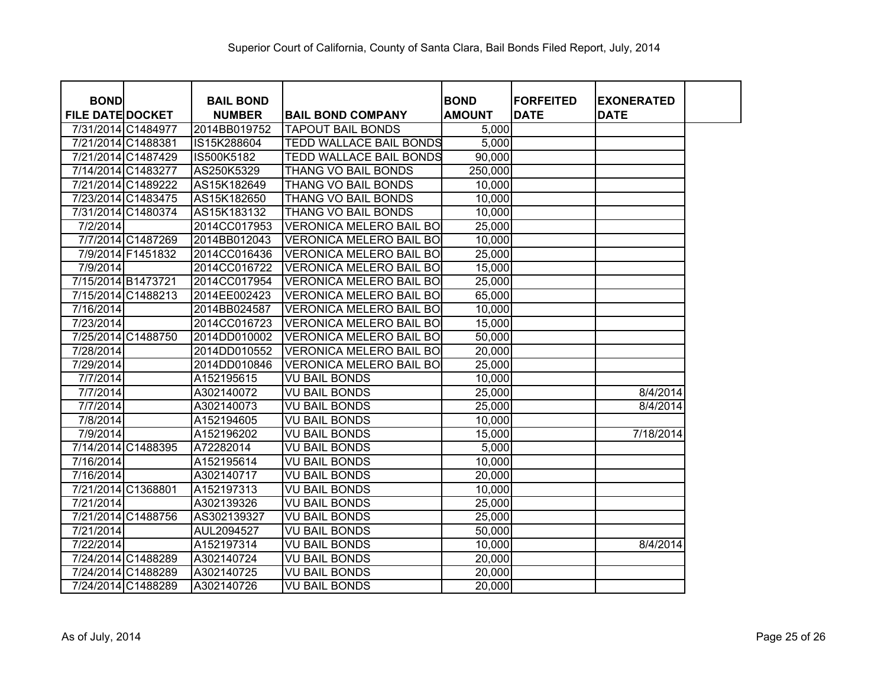| <b>BOND</b>             |                    | <b>BAIL BOND</b> |                                | <b>BOND</b>   | <b>FORFEITED</b> | <b>EXONERATED</b> |
|-------------------------|--------------------|------------------|--------------------------------|---------------|------------------|-------------------|
| <b>FILE DATE DOCKET</b> |                    | <b>NUMBER</b>    | <b>BAIL BOND COMPANY</b>       | <b>AMOUNT</b> | <b>DATE</b>      | <b>DATE</b>       |
|                         | 7/31/2014 C1484977 | 2014BB019752     | <b>TAPOUT BAIL BONDS</b>       | 5,000         |                  |                   |
|                         | 7/21/2014 C1488381 | IS15K288604      | <b>TEDD WALLACE BAIL BONDS</b> | 5,000         |                  |                   |
|                         | 7/21/2014 C1487429 | IS500K5182       | <b>TEDD WALLACE BAIL BONDS</b> | 90,000        |                  |                   |
|                         | 7/14/2014 C1483277 | AS250K5329       | THANG VO BAIL BONDS            | 250,000       |                  |                   |
|                         | 7/21/2014 C1489222 | AS15K182649      | THANG VO BAIL BONDS            | 10,000        |                  |                   |
|                         | 7/23/2014 C1483475 | AS15K182650      | THANG VO BAIL BONDS            | 10,000        |                  |                   |
|                         | 7/31/2014 C1480374 | AS15K183132      | THANG VO BAIL BONDS            | 10,000        |                  |                   |
| 7/2/2014                |                    | 2014CC017953     | <b>VERONICA MELERO BAIL BO</b> | 25,000        |                  |                   |
|                         | 7/7/2014 C1487269  | 2014BB012043     | <b>VERONICA MELERO BAIL BO</b> | 10,000        |                  |                   |
|                         | 7/9/2014 F1451832  | 2014CC016436     | <b>VERONICA MELERO BAIL BO</b> | 25,000        |                  |                   |
| 7/9/2014                |                    | 2014CC016722     | <b>VERONICA MELERO BAIL BO</b> | 15,000        |                  |                   |
|                         | 7/15/2014 B1473721 | 2014CC017954     | <b>VERONICA MELERO BAIL BO</b> | 25,000        |                  |                   |
|                         | 7/15/2014 C1488213 | 2014EE002423     | <b>VERONICA MELERO BAIL BO</b> | 65,000        |                  |                   |
| 7/16/2014               |                    | 2014BB024587     | <b>VERONICA MELERO BAIL BO</b> | 10,000        |                  |                   |
| 7/23/2014               |                    | 2014CC016723     | <b>VERONICA MELERO BAIL BO</b> | 15,000        |                  |                   |
|                         | 7/25/2014 C1488750 | 2014DD010002     | <b>VERONICA MELERO BAIL BO</b> | 50,000        |                  |                   |
| 7/28/2014               |                    | 2014DD010552     | <b>VERONICA MELERO BAIL BO</b> | 20,000        |                  |                   |
| 7/29/2014               |                    | 2014DD010846     | VERONICA MELERO BAIL BO        | 25,000        |                  |                   |
| 7/7/2014                |                    | A152195615       | <b>VU BAIL BONDS</b>           | 10,000        |                  |                   |
| 7/7/2014                |                    | A302140072       | <b>VU BAIL BONDS</b>           | 25,000        |                  | 8/4/2014          |
| 7/7/2014                |                    | A302140073       | <b>VU BAIL BONDS</b>           | 25,000        |                  | 8/4/2014          |
| 7/8/2014                |                    | A152194605       | <b>VU BAIL BONDS</b>           | 10,000        |                  |                   |
| 7/9/2014                |                    | A152196202       | <b>VU BAIL BONDS</b>           | 15,000        |                  | 7/18/2014         |
|                         | 7/14/2014 C1488395 | A72282014        | <b>VU BAIL BONDS</b>           | 5,000         |                  |                   |
| 7/16/2014               |                    | A152195614       | <b>VU BAIL BONDS</b>           | 10,000        |                  |                   |
| 7/16/2014               |                    | A302140717       | <b>VU BAIL BONDS</b>           | 20,000        |                  |                   |
|                         | 7/21/2014 C1368801 | A152197313       | <b>VU BAIL BONDS</b>           | 10,000        |                  |                   |
| 7/21/2014               |                    | A302139326       | <b>VU BAIL BONDS</b>           | 25,000        |                  |                   |
|                         | 7/21/2014 C1488756 | AS302139327      | <b>VU BAIL BONDS</b>           | 25,000        |                  |                   |
| 7/21/2014               |                    | AUL2094527       | <b>VU BAIL BONDS</b>           | 50,000        |                  |                   |
| 7/22/2014               |                    | A152197314       | <b>VU BAIL BONDS</b>           | 10,000        |                  | 8/4/2014          |
|                         | 7/24/2014 C1488289 | A302140724       | <b>VU BAIL BONDS</b>           | 20,000        |                  |                   |
|                         | 7/24/2014 C1488289 | A302140725       | <b>VU BAIL BONDS</b>           | 20,000        |                  |                   |
|                         | 7/24/2014 C1488289 | A302140726       | <b>VU BAIL BONDS</b>           | 20,000        |                  |                   |